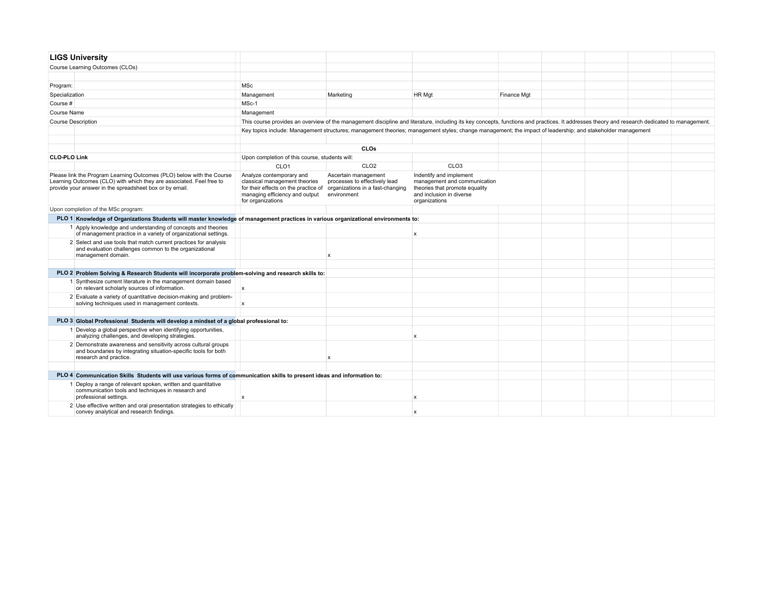|                     | <b>LIGS University</b>                                                                                                                                                                                   |                                                                                                                                                                                              |                                                                      |                                                                                                                                                            |             |  |  |  |  |  |
|---------------------|----------------------------------------------------------------------------------------------------------------------------------------------------------------------------------------------------------|----------------------------------------------------------------------------------------------------------------------------------------------------------------------------------------------|----------------------------------------------------------------------|------------------------------------------------------------------------------------------------------------------------------------------------------------|-------------|--|--|--|--|--|
|                     | Course Learning Outcomes (CLOs)                                                                                                                                                                          |                                                                                                                                                                                              |                                                                      |                                                                                                                                                            |             |  |  |  |  |  |
|                     |                                                                                                                                                                                                          |                                                                                                                                                                                              |                                                                      |                                                                                                                                                            |             |  |  |  |  |  |
| Program:            |                                                                                                                                                                                                          | MSc                                                                                                                                                                                          |                                                                      |                                                                                                                                                            |             |  |  |  |  |  |
| Specialization      |                                                                                                                                                                                                          | Management                                                                                                                                                                                   | Marketing                                                            | HR Mgt                                                                                                                                                     | Finance Mgt |  |  |  |  |  |
| Course #            |                                                                                                                                                                                                          | MSc-1                                                                                                                                                                                        |                                                                      |                                                                                                                                                            |             |  |  |  |  |  |
| Course Name         |                                                                                                                                                                                                          | Management                                                                                                                                                                                   |                                                                      |                                                                                                                                                            |             |  |  |  |  |  |
|                     | <b>Course Description</b>                                                                                                                                                                                | This course provides an overview of the management discipline and literature, including its key concepts, functions and practices. It addresses theory and research dedicated to management. |                                                                      |                                                                                                                                                            |             |  |  |  |  |  |
|                     |                                                                                                                                                                                                          |                                                                                                                                                                                              |                                                                      | Key topics include: Management structures; management theories; management styles; change management; the impact of leadership; and stakeholder management |             |  |  |  |  |  |
|                     |                                                                                                                                                                                                          |                                                                                                                                                                                              |                                                                      |                                                                                                                                                            |             |  |  |  |  |  |
|                     |                                                                                                                                                                                                          |                                                                                                                                                                                              | CLOs                                                                 |                                                                                                                                                            |             |  |  |  |  |  |
| <b>CLO-PLO Link</b> |                                                                                                                                                                                                          | Upon completion of this course, students will:                                                                                                                                               |                                                                      |                                                                                                                                                            |             |  |  |  |  |  |
|                     |                                                                                                                                                                                                          | CLO <sub>1</sub>                                                                                                                                                                             | CLO <sub>2</sub>                                                     | CLO <sub>3</sub>                                                                                                                                           |             |  |  |  |  |  |
|                     | Please link the Program Learning Outcomes (PLO) below with the Course<br>Learning Outcomes (CLO) with which they are associated. Feel free to<br>provide your answer in the spreadsheet box or by email. | Analyze contemporary and<br>classical management theories<br>for their effects on the practice of organizations in a fast-changing<br>managing efficiency and output<br>for organizations    | Ascertain management<br>processes to effectively lead<br>environment | Indentify and implement<br>management and communication<br>theories that promote equality<br>and inclusion in diverse<br>organizations                     |             |  |  |  |  |  |
|                     | Upon completion of the MSc program:                                                                                                                                                                      |                                                                                                                                                                                              |                                                                      |                                                                                                                                                            |             |  |  |  |  |  |
|                     | PLO 1 Knowledge of Organizations Students will master knowledge of management practices in various organizational environments to:                                                                       |                                                                                                                                                                                              |                                                                      |                                                                                                                                                            |             |  |  |  |  |  |
|                     | 1 Apply knowledge and understanding of concepts and theories<br>of management practice in a variety of organizational settings.                                                                          |                                                                                                                                                                                              |                                                                      | $\mathsf{x}$                                                                                                                                               |             |  |  |  |  |  |
|                     | 2 Select and use tools that match current practices for analysis<br>and evaluation challenges common to the organizational<br>management domain.                                                         |                                                                                                                                                                                              | x                                                                    |                                                                                                                                                            |             |  |  |  |  |  |
|                     |                                                                                                                                                                                                          |                                                                                                                                                                                              |                                                                      |                                                                                                                                                            |             |  |  |  |  |  |
|                     | PLO 2 Problem Solving & Research Students will incorporate problem-solving and research skills to:                                                                                                       |                                                                                                                                                                                              |                                                                      |                                                                                                                                                            |             |  |  |  |  |  |
|                     | 1 Synthesize current literature in the management domain based<br>on relevant scholarly sources of information.                                                                                          | x                                                                                                                                                                                            |                                                                      |                                                                                                                                                            |             |  |  |  |  |  |
|                     | 2 Evaluate a variety of quantitative decision-making and problem-<br>solving techniques used in management contexts.                                                                                     | $\boldsymbol{\mathsf{x}}$                                                                                                                                                                    |                                                                      |                                                                                                                                                            |             |  |  |  |  |  |
|                     |                                                                                                                                                                                                          |                                                                                                                                                                                              |                                                                      |                                                                                                                                                            |             |  |  |  |  |  |
|                     | PLO 3 Global Professional Students will develop a mindset of a global professional to:                                                                                                                   |                                                                                                                                                                                              |                                                                      |                                                                                                                                                            |             |  |  |  |  |  |
|                     | 1 Develop a global perspective when identifying opportunities,<br>analyzing challenges, and developing strategies.                                                                                       |                                                                                                                                                                                              |                                                                      | $\mathbf x$                                                                                                                                                |             |  |  |  |  |  |
|                     | 2 Demonstrate awareness and sensitivity across cultural groups<br>and boundaries by integrating situation-specific tools for both<br>research and practice.                                              |                                                                                                                                                                                              | x                                                                    |                                                                                                                                                            |             |  |  |  |  |  |
|                     |                                                                                                                                                                                                          |                                                                                                                                                                                              |                                                                      |                                                                                                                                                            |             |  |  |  |  |  |
|                     | PLO 4 Communication Skills Students will use various forms of communication skills to present ideas and information to:                                                                                  |                                                                                                                                                                                              |                                                                      |                                                                                                                                                            |             |  |  |  |  |  |
|                     | 1 Deploy a range of relevant spoken, written and quantitative<br>communication tools and techniques in research and<br>professional settings.                                                            | $\mathsf{x}$                                                                                                                                                                                 |                                                                      | $\boldsymbol{\mathsf{x}}$                                                                                                                                  |             |  |  |  |  |  |
|                     | 2 Use effective written and oral presentation strategies to ethically<br>convey analytical and research findings.                                                                                        |                                                                                                                                                                                              |                                                                      |                                                                                                                                                            |             |  |  |  |  |  |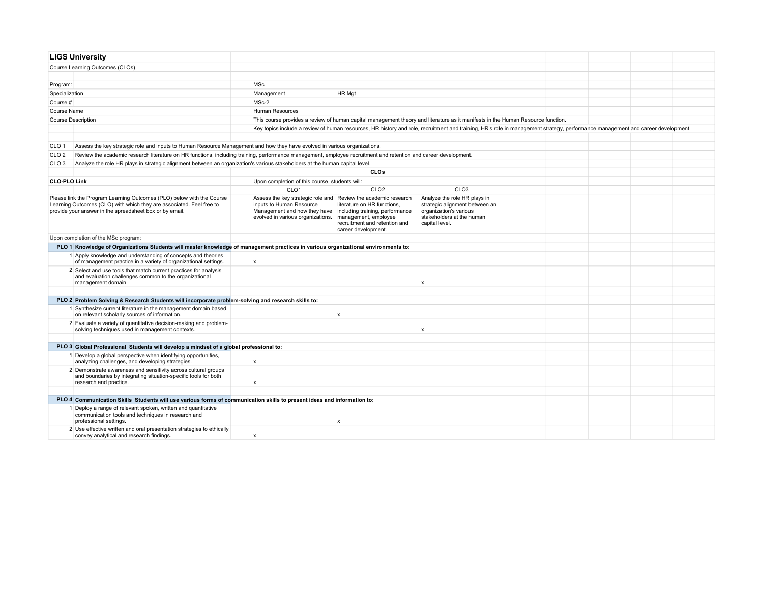|                     | <b>LIGS University</b>                                                                                                                                                                                   |                                                                                                                                                                                                 |                                                                                                             |                                                                                                                                                                                 |  |  |  |
|---------------------|----------------------------------------------------------------------------------------------------------------------------------------------------------------------------------------------------------|-------------------------------------------------------------------------------------------------------------------------------------------------------------------------------------------------|-------------------------------------------------------------------------------------------------------------|---------------------------------------------------------------------------------------------------------------------------------------------------------------------------------|--|--|--|
|                     | Course Learning Outcomes (CLOs)                                                                                                                                                                          |                                                                                                                                                                                                 |                                                                                                             |                                                                                                                                                                                 |  |  |  |
|                     |                                                                                                                                                                                                          |                                                                                                                                                                                                 |                                                                                                             |                                                                                                                                                                                 |  |  |  |
| Program:            |                                                                                                                                                                                                          | <b>MSc</b>                                                                                                                                                                                      |                                                                                                             |                                                                                                                                                                                 |  |  |  |
| Specialization      |                                                                                                                                                                                                          | Management                                                                                                                                                                                      | HR Mgt                                                                                                      |                                                                                                                                                                                 |  |  |  |
| Course #            |                                                                                                                                                                                                          | MSc-2                                                                                                                                                                                           |                                                                                                             |                                                                                                                                                                                 |  |  |  |
| Course Name         |                                                                                                                                                                                                          | Human Resources                                                                                                                                                                                 |                                                                                                             |                                                                                                                                                                                 |  |  |  |
|                     | <b>Course Description</b>                                                                                                                                                                                |                                                                                                                                                                                                 |                                                                                                             | This course provides a review of human capital management theory and literature as it manifests in the Human Resource function.                                                 |  |  |  |
|                     |                                                                                                                                                                                                          |                                                                                                                                                                                                 |                                                                                                             | Key topics include a review of human resources, HR history and role, recruitment and training, HR's role in management strategy, performance management and career development. |  |  |  |
|                     |                                                                                                                                                                                                          |                                                                                                                                                                                                 |                                                                                                             |                                                                                                                                                                                 |  |  |  |
| CLO <sub>1</sub>    | Assess the key strategic role and inputs to Human Resource Management and how they have evolved in various organizations.                                                                                |                                                                                                                                                                                                 |                                                                                                             |                                                                                                                                                                                 |  |  |  |
| CLO <sub>2</sub>    | Review the academic research literature on HR functions, including training, performance management, employee recruitment and retention and career development.                                          |                                                                                                                                                                                                 |                                                                                                             |                                                                                                                                                                                 |  |  |  |
| CLO <sub>3</sub>    | Analyze the role HR plays in strategic alignment between an organization's various stakeholders at the human capital level.                                                                              |                                                                                                                                                                                                 |                                                                                                             |                                                                                                                                                                                 |  |  |  |
|                     |                                                                                                                                                                                                          |                                                                                                                                                                                                 | CLOs                                                                                                        |                                                                                                                                                                                 |  |  |  |
| <b>CLO-PLO Link</b> |                                                                                                                                                                                                          | Upon completion of this course, students will:                                                                                                                                                  |                                                                                                             |                                                                                                                                                                                 |  |  |  |
|                     |                                                                                                                                                                                                          | CLO <sub>1</sub>                                                                                                                                                                                | CLO <sub>2</sub>                                                                                            | CLO <sub>3</sub>                                                                                                                                                                |  |  |  |
|                     | Please link the Program Learning Outcomes (PLO) below with the Course<br>Learning Outcomes (CLO) with which they are associated. Feel free to<br>provide your answer in the spreadsheet box or by email. | Assess the key strategic role and Review the academic research<br>inputs to Human Resource<br>Management and how they have including training, performance<br>evolved in various organizations. | literature on HR functions,<br>management, employee<br>recruitment and retention and<br>career development. | Analyze the role HR plays in<br>strategic alignment between an<br>organization's various<br>stakeholders at the human<br>capital level.                                         |  |  |  |
|                     | Upon completion of the MSc program:                                                                                                                                                                      |                                                                                                                                                                                                 |                                                                                                             |                                                                                                                                                                                 |  |  |  |
|                     | PLO 1 Knowledge of Organizations Students will master knowledge of management practices in various organizational environments to:                                                                       |                                                                                                                                                                                                 |                                                                                                             |                                                                                                                                                                                 |  |  |  |
|                     | 1 Apply knowledge and understanding of concepts and theories<br>of management practice in a variety of organizational settings.                                                                          | $\mathsf{x}$                                                                                                                                                                                    |                                                                                                             |                                                                                                                                                                                 |  |  |  |
|                     | 2 Select and use tools that match current practices for analysis<br>and evaluation challenges common to the organizational<br>management domain.                                                         |                                                                                                                                                                                                 |                                                                                                             | x                                                                                                                                                                               |  |  |  |
|                     |                                                                                                                                                                                                          |                                                                                                                                                                                                 |                                                                                                             |                                                                                                                                                                                 |  |  |  |
|                     | PLO 2 Problem Solving & Research Students will incorporate problem-solving and research skills to:                                                                                                       |                                                                                                                                                                                                 |                                                                                                             |                                                                                                                                                                                 |  |  |  |
|                     | 1 Synthesize current literature in the management domain based<br>on relevant scholarly sources of information.                                                                                          |                                                                                                                                                                                                 | $\mathsf{x}$                                                                                                |                                                                                                                                                                                 |  |  |  |
|                     | 2 Evaluate a variety of quantitative decision-making and problem-<br>solving techniques used in management contexts.                                                                                     |                                                                                                                                                                                                 |                                                                                                             | x                                                                                                                                                                               |  |  |  |
|                     |                                                                                                                                                                                                          |                                                                                                                                                                                                 |                                                                                                             |                                                                                                                                                                                 |  |  |  |
|                     | PLO 3 Global Professional Students will develop a mindset of a global professional to:                                                                                                                   |                                                                                                                                                                                                 |                                                                                                             |                                                                                                                                                                                 |  |  |  |
|                     | 1 Develop a global perspective when identifying opportunities,<br>analyzing challenges, and developing strategies.                                                                                       | <b>x</b>                                                                                                                                                                                        |                                                                                                             |                                                                                                                                                                                 |  |  |  |
|                     | 2 Demonstrate awareness and sensitivity across cultural groups<br>and boundaries by integrating situation-specific tools for both<br>research and practice.                                              | x                                                                                                                                                                                               |                                                                                                             |                                                                                                                                                                                 |  |  |  |
|                     |                                                                                                                                                                                                          |                                                                                                                                                                                                 |                                                                                                             |                                                                                                                                                                                 |  |  |  |
|                     | PLO 4 Communication Skills Students will use various forms of communication skills to present ideas and information to:                                                                                  |                                                                                                                                                                                                 |                                                                                                             |                                                                                                                                                                                 |  |  |  |
|                     | 1 Deploy a range of relevant spoken, written and quantitative<br>communication tools and techniques in research and<br>professional settings.                                                            |                                                                                                                                                                                                 | x                                                                                                           |                                                                                                                                                                                 |  |  |  |
|                     | 2 Use effective written and oral presentation strategies to ethically<br>convey analytical and research findings.                                                                                        | $\mathbf x$                                                                                                                                                                                     |                                                                                                             |                                                                                                                                                                                 |  |  |  |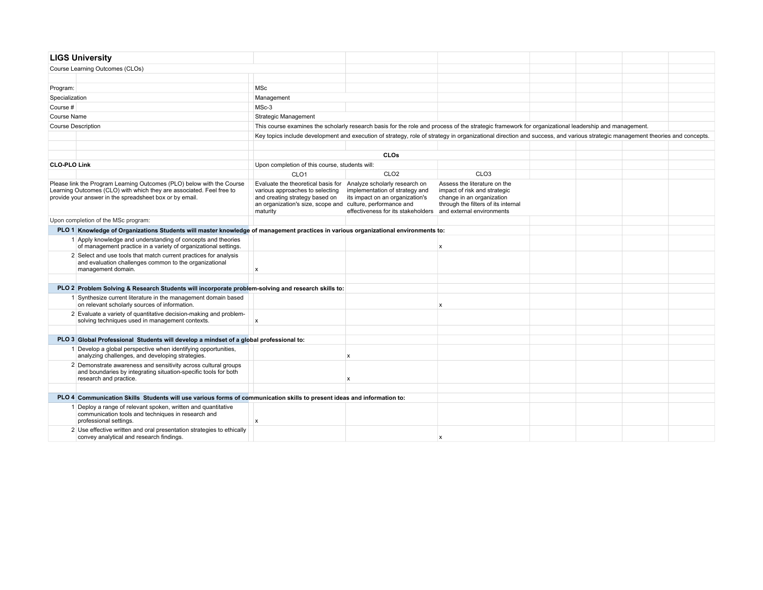|                     | <b>LIGS University</b>                                                                                                                                                                                   |                                                                                                                                                                                                                 |                                                                                                         |                                                                                                                                                                             |  |  |  |  |  |  |
|---------------------|----------------------------------------------------------------------------------------------------------------------------------------------------------------------------------------------------------|-----------------------------------------------------------------------------------------------------------------------------------------------------------------------------------------------------------------|---------------------------------------------------------------------------------------------------------|-----------------------------------------------------------------------------------------------------------------------------------------------------------------------------|--|--|--|--|--|--|
|                     | Course Learning Outcomes (CLOs)                                                                                                                                                                          |                                                                                                                                                                                                                 |                                                                                                         |                                                                                                                                                                             |  |  |  |  |  |  |
|                     |                                                                                                                                                                                                          |                                                                                                                                                                                                                 |                                                                                                         |                                                                                                                                                                             |  |  |  |  |  |  |
| Program:            |                                                                                                                                                                                                          | <b>MSc</b>                                                                                                                                                                                                      |                                                                                                         |                                                                                                                                                                             |  |  |  |  |  |  |
| Specialization      |                                                                                                                                                                                                          | Management                                                                                                                                                                                                      |                                                                                                         |                                                                                                                                                                             |  |  |  |  |  |  |
| Course #            |                                                                                                                                                                                                          | MSc-3                                                                                                                                                                                                           |                                                                                                         |                                                                                                                                                                             |  |  |  |  |  |  |
| <b>Course Name</b>  |                                                                                                                                                                                                          | <b>Strategic Management</b>                                                                                                                                                                                     |                                                                                                         |                                                                                                                                                                             |  |  |  |  |  |  |
|                     | <b>Course Description</b>                                                                                                                                                                                | This course examines the scholarly research basis for the role and process of the strategic framework for organizational leadership and management.                                                             |                                                                                                         |                                                                                                                                                                             |  |  |  |  |  |  |
|                     |                                                                                                                                                                                                          |                                                                                                                                                                                                                 |                                                                                                         | Key topics include development and execution of strategy, role of strategy in organizational direction and success, and various strategic management theories and concepts. |  |  |  |  |  |  |
|                     |                                                                                                                                                                                                          |                                                                                                                                                                                                                 |                                                                                                         |                                                                                                                                                                             |  |  |  |  |  |  |
|                     |                                                                                                                                                                                                          |                                                                                                                                                                                                                 | <b>CLOs</b>                                                                                             |                                                                                                                                                                             |  |  |  |  |  |  |
| <b>CLO-PLO Link</b> |                                                                                                                                                                                                          | Upon completion of this course, students will:                                                                                                                                                                  |                                                                                                         |                                                                                                                                                                             |  |  |  |  |  |  |
|                     |                                                                                                                                                                                                          | CLO <sub>1</sub>                                                                                                                                                                                                | CLO <sub>2</sub>                                                                                        | CLO <sub>3</sub>                                                                                                                                                            |  |  |  |  |  |  |
|                     | Please link the Program Learning Outcomes (PLO) below with the Course<br>Learning Outcomes (CLO) with which they are associated. Feel free to<br>provide your answer in the spreadsheet box or by email. | Evaluate the theoretical basis for Analyze scholarly research on<br>various approaches to selecting<br>and creating strategy based on<br>an organization's size, scope and culture, performance and<br>maturity | implementation of strategy and<br>its impact on an organization's<br>effectiveness for its stakeholders | Assess the literature on the<br>impact of risk and strategic<br>change in an organization<br>through the filters of its internal<br>and external environments               |  |  |  |  |  |  |
|                     | Upon completion of the MSc program:                                                                                                                                                                      |                                                                                                                                                                                                                 |                                                                                                         |                                                                                                                                                                             |  |  |  |  |  |  |
|                     | PLO 1 Knowledge of Organizations Students will master knowledge of management practices in various organizational environments to:                                                                       |                                                                                                                                                                                                                 |                                                                                                         |                                                                                                                                                                             |  |  |  |  |  |  |
|                     | 1 Apply knowledge and understanding of concepts and theories<br>of management practice in a variety of organizational settings.                                                                          |                                                                                                                                                                                                                 |                                                                                                         | x                                                                                                                                                                           |  |  |  |  |  |  |
|                     | 2 Select and use tools that match current practices for analysis<br>and evaluation challenges common to the organizational<br>management domain.                                                         | $\boldsymbol{\mathsf{x}}$                                                                                                                                                                                       |                                                                                                         |                                                                                                                                                                             |  |  |  |  |  |  |
|                     |                                                                                                                                                                                                          |                                                                                                                                                                                                                 |                                                                                                         |                                                                                                                                                                             |  |  |  |  |  |  |
|                     | PLO 2 Problem Solving & Research Students will incorporate problem-solving and research skills to:                                                                                                       |                                                                                                                                                                                                                 |                                                                                                         |                                                                                                                                                                             |  |  |  |  |  |  |
|                     | 1 Synthesize current literature in the management domain based<br>on relevant scholarly sources of information.                                                                                          |                                                                                                                                                                                                                 |                                                                                                         | x                                                                                                                                                                           |  |  |  |  |  |  |
|                     | 2 Evaluate a variety of quantitative decision-making and problem-<br>solving techniques used in management contexts.                                                                                     | X                                                                                                                                                                                                               |                                                                                                         |                                                                                                                                                                             |  |  |  |  |  |  |
|                     |                                                                                                                                                                                                          |                                                                                                                                                                                                                 |                                                                                                         |                                                                                                                                                                             |  |  |  |  |  |  |
|                     | PLO 3 Global Professional Students will develop a mindset of a global professional to:                                                                                                                   |                                                                                                                                                                                                                 |                                                                                                         |                                                                                                                                                                             |  |  |  |  |  |  |
|                     | 1 Develop a global perspective when identifying opportunities,<br>analyzing challenges, and developing strategies.                                                                                       |                                                                                                                                                                                                                 | $\mathbf x$                                                                                             |                                                                                                                                                                             |  |  |  |  |  |  |
|                     | 2 Demonstrate awareness and sensitivity across cultural groups<br>and boundaries by integrating situation-specific tools for both<br>research and practice.                                              |                                                                                                                                                                                                                 | $\boldsymbol{\mathsf{x}}$                                                                               |                                                                                                                                                                             |  |  |  |  |  |  |
|                     |                                                                                                                                                                                                          |                                                                                                                                                                                                                 |                                                                                                         |                                                                                                                                                                             |  |  |  |  |  |  |
|                     | PLO 4 Communication Skills Students will use various forms of communication skills to present ideas and information to:                                                                                  |                                                                                                                                                                                                                 |                                                                                                         |                                                                                                                                                                             |  |  |  |  |  |  |
|                     | 1 Deploy a range of relevant spoken, written and quantitative<br>communication tools and techniques in research and<br>professional settings.                                                            | $\boldsymbol{\mathsf{x}}$                                                                                                                                                                                       |                                                                                                         |                                                                                                                                                                             |  |  |  |  |  |  |
|                     | 2 Use effective written and oral presentation strategies to ethically<br>convey analytical and research findings.                                                                                        |                                                                                                                                                                                                                 |                                                                                                         | x                                                                                                                                                                           |  |  |  |  |  |  |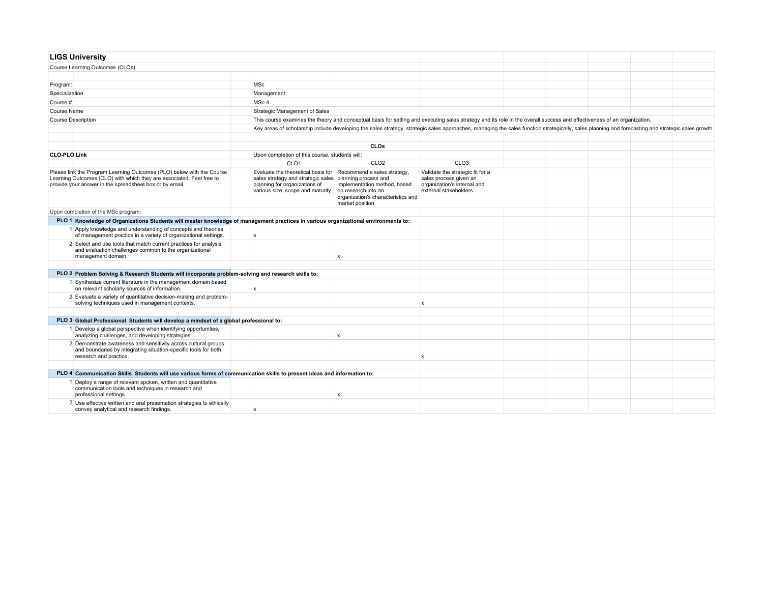|                     | <b>LIGS University</b>                                                                                                                                                                                   |                                                                                                                                                                                                |                                                                                                                                                                                                  |                                                                                                                    |  |  |
|---------------------|----------------------------------------------------------------------------------------------------------------------------------------------------------------------------------------------------------|------------------------------------------------------------------------------------------------------------------------------------------------------------------------------------------------|--------------------------------------------------------------------------------------------------------------------------------------------------------------------------------------------------|--------------------------------------------------------------------------------------------------------------------|--|--|
|                     | Course Learning Outcomes (CLOs)                                                                                                                                                                          |                                                                                                                                                                                                |                                                                                                                                                                                                  |                                                                                                                    |  |  |
|                     |                                                                                                                                                                                                          |                                                                                                                                                                                                |                                                                                                                                                                                                  |                                                                                                                    |  |  |
| Program:            |                                                                                                                                                                                                          | MSc                                                                                                                                                                                            |                                                                                                                                                                                                  |                                                                                                                    |  |  |
| Specialization      |                                                                                                                                                                                                          | Management                                                                                                                                                                                     |                                                                                                                                                                                                  |                                                                                                                    |  |  |
| Course #            |                                                                                                                                                                                                          | MSc-4                                                                                                                                                                                          |                                                                                                                                                                                                  |                                                                                                                    |  |  |
| Course Name         |                                                                                                                                                                                                          | Strategic Management of Sales                                                                                                                                                                  |                                                                                                                                                                                                  |                                                                                                                    |  |  |
|                     | <b>Course Description</b>                                                                                                                                                                                |                                                                                                                                                                                                | This course examines the theory and conceptual basis for setting and executing sales strategy and its role in the overall success and effectiveness of an organization.                          |                                                                                                                    |  |  |
|                     |                                                                                                                                                                                                          |                                                                                                                                                                                                | Key areas of scholarship include developing the sales strategy, strategic sales approaches, managing the sales function strategically, sales planning and forecasting and strategic sales growth |                                                                                                                    |  |  |
|                     |                                                                                                                                                                                                          |                                                                                                                                                                                                |                                                                                                                                                                                                  |                                                                                                                    |  |  |
|                     |                                                                                                                                                                                                          |                                                                                                                                                                                                | <b>CLOs</b>                                                                                                                                                                                      |                                                                                                                    |  |  |
| <b>CLO-PLO Link</b> |                                                                                                                                                                                                          | Upon completion of this course, students will:                                                                                                                                                 |                                                                                                                                                                                                  |                                                                                                                    |  |  |
|                     |                                                                                                                                                                                                          | CLO <sub>1</sub>                                                                                                                                                                               | CLO <sub>2</sub>                                                                                                                                                                                 | CLO <sub>3</sub>                                                                                                   |  |  |
|                     | Please link the Program Learning Outcomes (PLO) below with the Course<br>Learning Outcomes (CLO) with which they are associated. Feel free to<br>provide your answer in the spreadsheet box or by email. | Evaluate the theoretical basis for Recommend a sales strategy.<br>sales strategy and strategic sales planning process and<br>planning for organizations of<br>various size, scope and maturity | implementation method, based<br>on research into an<br>organization's characteristics and<br>market position                                                                                     | Validate the strategic fit for a<br>sales process given an<br>organization's internal and<br>external stakeholders |  |  |
|                     | Upon completion of the MSc program:                                                                                                                                                                      |                                                                                                                                                                                                |                                                                                                                                                                                                  |                                                                                                                    |  |  |
|                     | PLO 1 Knowledge of Organizations Students will master knowledge of management practices in various organizational environments to:                                                                       |                                                                                                                                                                                                |                                                                                                                                                                                                  |                                                                                                                    |  |  |
|                     | 1 Apply knowledge and understanding of concepts and theories<br>of management practice in a variety of organizational settings.                                                                          | $\boldsymbol{\mathsf{x}}$                                                                                                                                                                      |                                                                                                                                                                                                  |                                                                                                                    |  |  |
|                     | 2 Select and use tools that match current practices for analysis<br>and evaluation challenges common to the organizational<br>management domain.                                                         |                                                                                                                                                                                                | $\boldsymbol{\mathsf{x}}$                                                                                                                                                                        |                                                                                                                    |  |  |
|                     |                                                                                                                                                                                                          |                                                                                                                                                                                                |                                                                                                                                                                                                  |                                                                                                                    |  |  |
|                     | PLO 2 Problem Solving & Research Students will incorporate problem-solving and research skills to:                                                                                                       |                                                                                                                                                                                                |                                                                                                                                                                                                  |                                                                                                                    |  |  |
|                     | 1 Synthesize current literature in the management domain based<br>on relevant scholarly sources of information.                                                                                          | $\mathsf{x}$                                                                                                                                                                                   |                                                                                                                                                                                                  |                                                                                                                    |  |  |
|                     | 2 Evaluate a variety of quantitative decision-making and problem-<br>solving techniques used in management contexts.                                                                                     |                                                                                                                                                                                                |                                                                                                                                                                                                  | x                                                                                                                  |  |  |
|                     |                                                                                                                                                                                                          |                                                                                                                                                                                                |                                                                                                                                                                                                  |                                                                                                                    |  |  |
|                     | PLO 3 Global Professional Students will develop a mindset of a global professional to:                                                                                                                   |                                                                                                                                                                                                |                                                                                                                                                                                                  |                                                                                                                    |  |  |
|                     | 1 Develop a global perspective when identifying opportunities,<br>analyzing challenges, and developing strategies.                                                                                       |                                                                                                                                                                                                | $\boldsymbol{\mathsf{x}}$                                                                                                                                                                        |                                                                                                                    |  |  |
|                     | 2 Demonstrate awareness and sensitivity across cultural groups<br>and boundaries by integrating situation-specific tools for both<br>research and practice.                                              |                                                                                                                                                                                                |                                                                                                                                                                                                  | x                                                                                                                  |  |  |
|                     |                                                                                                                                                                                                          |                                                                                                                                                                                                |                                                                                                                                                                                                  |                                                                                                                    |  |  |
|                     | PLO 4 Communication Skills Students will use various forms of communication skills to present ideas and information to:                                                                                  |                                                                                                                                                                                                |                                                                                                                                                                                                  |                                                                                                                    |  |  |
|                     | 1 Deploy a range of relevant spoken, written and quantitative<br>communication tools and techniques in research and<br>professional settings.                                                            |                                                                                                                                                                                                | $\mathsf{x}$                                                                                                                                                                                     |                                                                                                                    |  |  |
|                     | 2 Use effective written and oral presentation strategies to ethically<br>convey analytical and research findings.                                                                                        | $\mathbf{x}$                                                                                                                                                                                   |                                                                                                                                                                                                  |                                                                                                                    |  |  |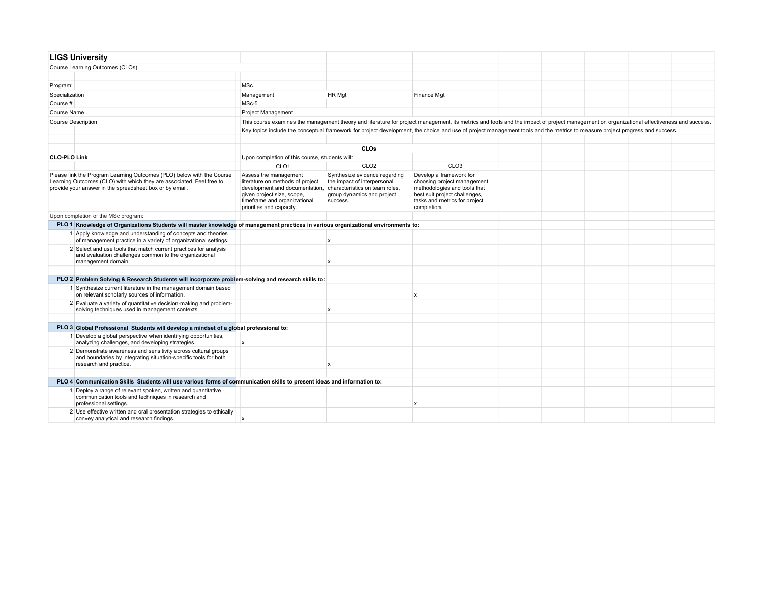| <b>LIGS University</b>                                                                                                                                                                                   |                                                                                                                                                                                                                      |                                                                                                        |                                                                                                                                                                                           |  |  |  |
|----------------------------------------------------------------------------------------------------------------------------------------------------------------------------------------------------------|----------------------------------------------------------------------------------------------------------------------------------------------------------------------------------------------------------------------|--------------------------------------------------------------------------------------------------------|-------------------------------------------------------------------------------------------------------------------------------------------------------------------------------------------|--|--|--|
| Course Learning Outcomes (CLOs)                                                                                                                                                                          |                                                                                                                                                                                                                      |                                                                                                        |                                                                                                                                                                                           |  |  |  |
|                                                                                                                                                                                                          |                                                                                                                                                                                                                      |                                                                                                        |                                                                                                                                                                                           |  |  |  |
| Program:                                                                                                                                                                                                 | <b>MSc</b>                                                                                                                                                                                                           |                                                                                                        |                                                                                                                                                                                           |  |  |  |
| Specialization                                                                                                                                                                                           | Management                                                                                                                                                                                                           | HR Mgt                                                                                                 | Finance Mgt                                                                                                                                                                               |  |  |  |
| Course #                                                                                                                                                                                                 | MSc-5                                                                                                                                                                                                                |                                                                                                        |                                                                                                                                                                                           |  |  |  |
| Course Name                                                                                                                                                                                              | Project Management                                                                                                                                                                                                   |                                                                                                        |                                                                                                                                                                                           |  |  |  |
| <b>Course Description</b>                                                                                                                                                                                |                                                                                                                                                                                                                      |                                                                                                        | This course examines the management theory and literature for project management, its metrics and tools and the impact of project management on organizational effectiveness and success. |  |  |  |
|                                                                                                                                                                                                          |                                                                                                                                                                                                                      |                                                                                                        | Key topics include the conceptual framework for project development, the choice and use of project management tools and the metrics to measure project progress and success.              |  |  |  |
|                                                                                                                                                                                                          |                                                                                                                                                                                                                      |                                                                                                        |                                                                                                                                                                                           |  |  |  |
|                                                                                                                                                                                                          |                                                                                                                                                                                                                      | CLOs                                                                                                   |                                                                                                                                                                                           |  |  |  |
| <b>CLO-PLO Link</b>                                                                                                                                                                                      | Upon completion of this course, students will:                                                                                                                                                                       |                                                                                                        |                                                                                                                                                                                           |  |  |  |
|                                                                                                                                                                                                          | CLO <sub>1</sub>                                                                                                                                                                                                     | CLO <sub>2</sub>                                                                                       | CLO <sub>3</sub>                                                                                                                                                                          |  |  |  |
| Please link the Program Learning Outcomes (PLO) below with the Course<br>Learning Outcomes (CLO) with which they are associated. Feel free to<br>provide your answer in the spreadsheet box or by email. | Assess the management<br>literature on methods of project<br>development and documentation, characteristics on team roles,<br>given project size, scope,<br>timeframe and organizational<br>priorities and capacity. | Synthesize evidence regarding<br>the impact of interpersonal<br>group dynamics and project<br>success. | Develop a framework for<br>choosing project management<br>methodologies and tools that<br>best suit project challenges,<br>tasks and metrics for project<br>completion.                   |  |  |  |
| Upon completion of the MSc program:                                                                                                                                                                      |                                                                                                                                                                                                                      |                                                                                                        |                                                                                                                                                                                           |  |  |  |
| PLO 1 Knowledge of Organizations Students will master knowledge of management practices in various organizational environments to:                                                                       |                                                                                                                                                                                                                      |                                                                                                        |                                                                                                                                                                                           |  |  |  |
| 1 Apply knowledge and understanding of concepts and theories<br>of management practice in a variety of organizational settings.                                                                          |                                                                                                                                                                                                                      | X                                                                                                      |                                                                                                                                                                                           |  |  |  |
| 2 Select and use tools that match current practices for analysis<br>and evaluation challenges common to the organizational<br>management domain.                                                         |                                                                                                                                                                                                                      | $\boldsymbol{\mathsf{x}}$                                                                              |                                                                                                                                                                                           |  |  |  |
|                                                                                                                                                                                                          |                                                                                                                                                                                                                      |                                                                                                        |                                                                                                                                                                                           |  |  |  |
| PLO 2 Problem Solving & Research Students will incorporate problem-solving and research skills to:                                                                                                       |                                                                                                                                                                                                                      |                                                                                                        |                                                                                                                                                                                           |  |  |  |
| 1 Synthesize current literature in the management domain based<br>on relevant scholarly sources of information.                                                                                          |                                                                                                                                                                                                                      |                                                                                                        | $\mathsf{x}$                                                                                                                                                                              |  |  |  |
| 2 Evaluate a variety of quantitative decision-making and problem-<br>solving techniques used in management contexts.                                                                                     |                                                                                                                                                                                                                      | $\boldsymbol{\mathsf{x}}$                                                                              |                                                                                                                                                                                           |  |  |  |
|                                                                                                                                                                                                          |                                                                                                                                                                                                                      |                                                                                                        |                                                                                                                                                                                           |  |  |  |
| PLO 3 Global Professional Students will develop a mindset of a global professional to:                                                                                                                   |                                                                                                                                                                                                                      |                                                                                                        |                                                                                                                                                                                           |  |  |  |
| 1 Develop a global perspective when identifying opportunities,<br>analyzing challenges, and developing strategies.                                                                                       | x                                                                                                                                                                                                                    |                                                                                                        |                                                                                                                                                                                           |  |  |  |
| 2 Demonstrate awareness and sensitivity across cultural groups<br>and boundaries by integrating situation-specific tools for both<br>research and practice.                                              |                                                                                                                                                                                                                      | x                                                                                                      |                                                                                                                                                                                           |  |  |  |
|                                                                                                                                                                                                          |                                                                                                                                                                                                                      |                                                                                                        |                                                                                                                                                                                           |  |  |  |
| PLO 4 Communication Skills Students will use various forms of communication skills to present ideas and information to:                                                                                  |                                                                                                                                                                                                                      |                                                                                                        |                                                                                                                                                                                           |  |  |  |
| 1 Deploy a range of relevant spoken, written and quantitative<br>communication tools and techniques in research and<br>professional settings.                                                            |                                                                                                                                                                                                                      |                                                                                                        | $\mathsf{x}$                                                                                                                                                                              |  |  |  |
| 2 Use effective written and oral presentation strategies to ethically<br>convey analytical and research findings.                                                                                        |                                                                                                                                                                                                                      |                                                                                                        |                                                                                                                                                                                           |  |  |  |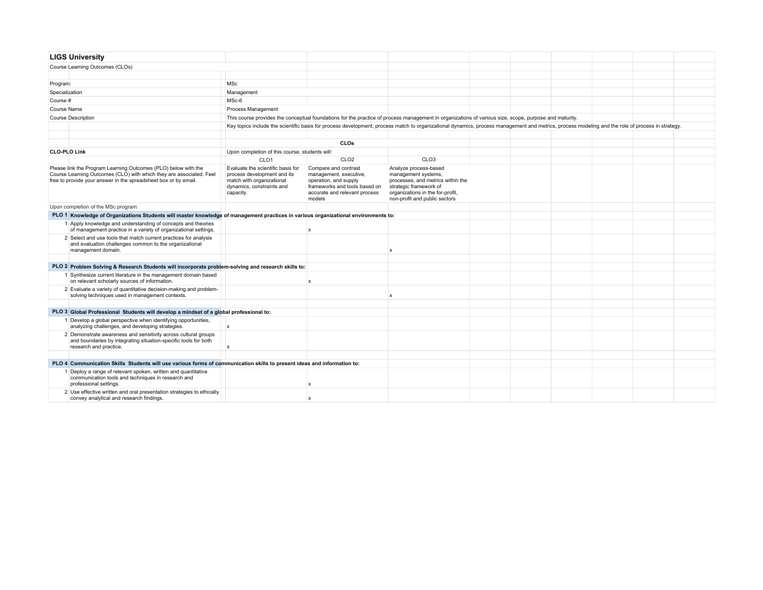|                | <b>LIGS University</b>                                                                                                                                                                                   |                                                                                                                                         |                                                                                                                                                     |                                                                                                                                                                                                  |  |  |  |
|----------------|----------------------------------------------------------------------------------------------------------------------------------------------------------------------------------------------------------|-----------------------------------------------------------------------------------------------------------------------------------------|-----------------------------------------------------------------------------------------------------------------------------------------------------|--------------------------------------------------------------------------------------------------------------------------------------------------------------------------------------------------|--|--|--|
|                | Course Learning Outcomes (CLOs)                                                                                                                                                                          |                                                                                                                                         |                                                                                                                                                     |                                                                                                                                                                                                  |  |  |  |
|                |                                                                                                                                                                                                          |                                                                                                                                         |                                                                                                                                                     |                                                                                                                                                                                                  |  |  |  |
| Program:       |                                                                                                                                                                                                          | <b>MSc</b>                                                                                                                              |                                                                                                                                                     |                                                                                                                                                                                                  |  |  |  |
| Specialization |                                                                                                                                                                                                          | Management                                                                                                                              |                                                                                                                                                     |                                                                                                                                                                                                  |  |  |  |
| Course #       |                                                                                                                                                                                                          | MSc-6                                                                                                                                   |                                                                                                                                                     |                                                                                                                                                                                                  |  |  |  |
| Course Name    |                                                                                                                                                                                                          | Process Management                                                                                                                      |                                                                                                                                                     |                                                                                                                                                                                                  |  |  |  |
|                | <b>Course Description</b>                                                                                                                                                                                |                                                                                                                                         |                                                                                                                                                     | This course provides the conceptual foundations for the practice of process management in organizations of various size, scope, purpose and maturity.                                            |  |  |  |
|                |                                                                                                                                                                                                          |                                                                                                                                         |                                                                                                                                                     | Key topics include the scientific basis for process development, process match to organizational dynamics, process management and metrics, process modeling and the role of process in strategy. |  |  |  |
|                |                                                                                                                                                                                                          |                                                                                                                                         |                                                                                                                                                     |                                                                                                                                                                                                  |  |  |  |
|                |                                                                                                                                                                                                          |                                                                                                                                         | <b>CLOs</b>                                                                                                                                         |                                                                                                                                                                                                  |  |  |  |
|                | <b>CLO-PLO Link</b>                                                                                                                                                                                      | Upon completion of this course, students will:                                                                                          |                                                                                                                                                     |                                                                                                                                                                                                  |  |  |  |
|                |                                                                                                                                                                                                          | CLO <sub>1</sub>                                                                                                                        | CLO <sub>2</sub>                                                                                                                                    | CLO <sub>3</sub>                                                                                                                                                                                 |  |  |  |
|                | Please link the Program Learning Outcomes (PLO) below with the<br>Course Learning Outcomes (CLO) with which they are associated. Feel<br>free to provide your answer in the spreadsheet box or by email. | Evaluate the scientific basis for<br>process development and its<br>match with organizational<br>dynamics, constraints and<br>capacity. | Compare and contrast<br>management, executive,<br>operation, and supply<br>frameworks and tools based on<br>accurate and relevant process<br>models | Analyze process-based<br>management systems,<br>processes, and metrics within the<br>strategic framework of<br>organizations in the for-profit,<br>non-profit and public sectors                 |  |  |  |
|                | Upon completion of the MSc program:                                                                                                                                                                      |                                                                                                                                         |                                                                                                                                                     |                                                                                                                                                                                                  |  |  |  |
|                | PLO 1 Knowledge of Organizations Students will master knowledge of management practices in various organizational environments to:                                                                       |                                                                                                                                         |                                                                                                                                                     |                                                                                                                                                                                                  |  |  |  |
|                | 1 Apply knowledge and understanding of concepts and theories<br>of management practice in a variety of organizational settings.                                                                          |                                                                                                                                         | $\mathsf{x}$                                                                                                                                        |                                                                                                                                                                                                  |  |  |  |
|                | 2 Select and use tools that match current practices for analysis<br>and evaluation challenges common to the organizational<br>management domain.                                                         |                                                                                                                                         |                                                                                                                                                     | $\boldsymbol{\mathsf{x}}$                                                                                                                                                                        |  |  |  |
|                | PLO 2 Problem Solving & Research Students will incorporate problem-solving and research skills to:                                                                                                       |                                                                                                                                         |                                                                                                                                                     |                                                                                                                                                                                                  |  |  |  |
|                | 1 Synthesize current literature in the management domain based<br>on relevant scholarly sources of information.                                                                                          |                                                                                                                                         | $\mathbf x$                                                                                                                                         |                                                                                                                                                                                                  |  |  |  |
|                | 2 Evaluate a variety of quantitative decision-making and problem-<br>solving techniques used in management contexts.                                                                                     |                                                                                                                                         |                                                                                                                                                     | x                                                                                                                                                                                                |  |  |  |
|                |                                                                                                                                                                                                          |                                                                                                                                         |                                                                                                                                                     |                                                                                                                                                                                                  |  |  |  |
|                | PLO 3 Global Professional Students will develop a mindset of a global professional to:                                                                                                                   |                                                                                                                                         |                                                                                                                                                     |                                                                                                                                                                                                  |  |  |  |
|                | 1 Develop a global perspective when identifying opportunities,<br>analyzing challenges, and developing strategies.                                                                                       | $\pmb{\times}$                                                                                                                          |                                                                                                                                                     |                                                                                                                                                                                                  |  |  |  |
|                | 2 Demonstrate awareness and sensitivity across cultural groups<br>and boundaries by integrating situation-specific tools for both<br>research and practice.                                              | $\pmb{\times}$                                                                                                                          |                                                                                                                                                     |                                                                                                                                                                                                  |  |  |  |
|                |                                                                                                                                                                                                          |                                                                                                                                         |                                                                                                                                                     |                                                                                                                                                                                                  |  |  |  |
|                | PLO 4 Communication Skills Students will use various forms of communication skills to present ideas and information to:                                                                                  |                                                                                                                                         |                                                                                                                                                     |                                                                                                                                                                                                  |  |  |  |
|                | 1 Deploy a range of relevant spoken, written and quantitative<br>communication tools and techniques in research and<br>professional settings.                                                            |                                                                                                                                         | $\mathbf{x}$                                                                                                                                        |                                                                                                                                                                                                  |  |  |  |
|                | 2 Use effective written and oral presentation strategies to ethically<br>convey analytical and research findings.                                                                                        |                                                                                                                                         |                                                                                                                                                     |                                                                                                                                                                                                  |  |  |  |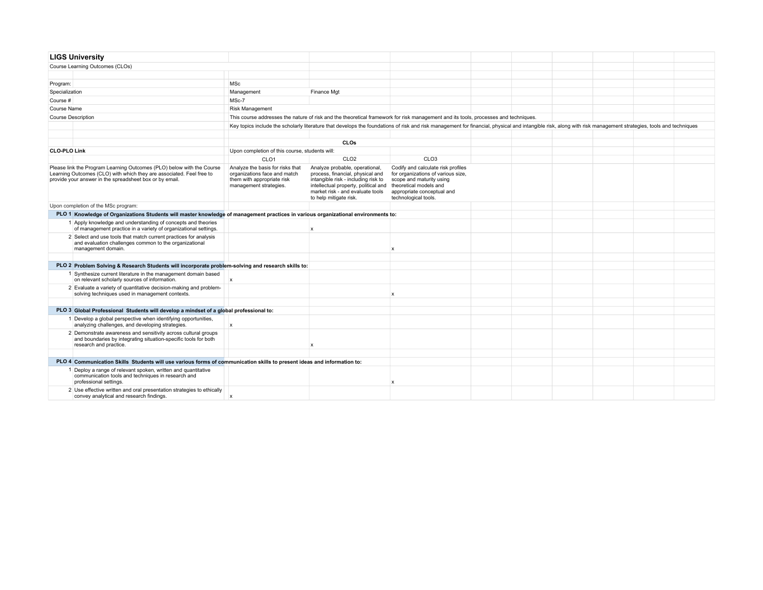|                     | <b>LIGS University</b>                                                                                                                                                                                   |                                                                                                                          |                                                                                                                                                                                                                 |                                                                                                                                                                                      |  |  |  |
|---------------------|----------------------------------------------------------------------------------------------------------------------------------------------------------------------------------------------------------|--------------------------------------------------------------------------------------------------------------------------|-----------------------------------------------------------------------------------------------------------------------------------------------------------------------------------------------------------------|--------------------------------------------------------------------------------------------------------------------------------------------------------------------------------------|--|--|--|
|                     | Course Learning Outcomes (CLOs)                                                                                                                                                                          |                                                                                                                          |                                                                                                                                                                                                                 |                                                                                                                                                                                      |  |  |  |
|                     |                                                                                                                                                                                                          |                                                                                                                          |                                                                                                                                                                                                                 |                                                                                                                                                                                      |  |  |  |
| Program:            |                                                                                                                                                                                                          | <b>MSc</b>                                                                                                               |                                                                                                                                                                                                                 |                                                                                                                                                                                      |  |  |  |
| Specialization      |                                                                                                                                                                                                          | Management                                                                                                               | Finance Mgt                                                                                                                                                                                                     |                                                                                                                                                                                      |  |  |  |
| Course #            |                                                                                                                                                                                                          | MSc-7                                                                                                                    |                                                                                                                                                                                                                 |                                                                                                                                                                                      |  |  |  |
| <b>Course Name</b>  |                                                                                                                                                                                                          | <b>Risk Management</b>                                                                                                   |                                                                                                                                                                                                                 |                                                                                                                                                                                      |  |  |  |
|                     | <b>Course Description</b>                                                                                                                                                                                |                                                                                                                          | This course addresses the nature of risk and the theoretical framework for risk management and its tools, processes and techniques.                                                                             |                                                                                                                                                                                      |  |  |  |
|                     |                                                                                                                                                                                                          |                                                                                                                          | Key topics include the scholarly literature that develops the foundations of risk and risk management for financial, physical and intangible risk, along with risk management strategies, tools and techniques  |                                                                                                                                                                                      |  |  |  |
|                     |                                                                                                                                                                                                          |                                                                                                                          |                                                                                                                                                                                                                 |                                                                                                                                                                                      |  |  |  |
|                     |                                                                                                                                                                                                          |                                                                                                                          | <b>CLOs</b>                                                                                                                                                                                                     |                                                                                                                                                                                      |  |  |  |
| <b>CLO-PLO Link</b> |                                                                                                                                                                                                          | Upon completion of this course, students will:                                                                           |                                                                                                                                                                                                                 |                                                                                                                                                                                      |  |  |  |
|                     |                                                                                                                                                                                                          | CLO <sub>1</sub>                                                                                                         | CLO <sub>2</sub>                                                                                                                                                                                                | CLO <sub>3</sub>                                                                                                                                                                     |  |  |  |
|                     | Please link the Program Learning Outcomes (PLO) below with the Course<br>Learning Outcomes (CLO) with which they are associated. Feel free to<br>provide your answer in the spreadsheet box or by email. | Analyze the basis for risks that<br>organizations face and match<br>them with appropriate risk<br>management strategies. | Analyze probable, operational,<br>process, financial, physical and<br>intangible risk - including risk to<br>intellectual property, political and<br>market risk - and evaluate tools<br>to help mitigate risk. | Codify and calculate risk profiles<br>for organizations of various size,<br>scope and maturity using<br>theoretical models and<br>appropriate conceptual and<br>technological tools. |  |  |  |
|                     | Upon completion of the MSc program:                                                                                                                                                                      |                                                                                                                          |                                                                                                                                                                                                                 |                                                                                                                                                                                      |  |  |  |
|                     | PLO 1 Knowledge of Organizations Students will master knowledge of management practices in various organizational environments to:                                                                       |                                                                                                                          |                                                                                                                                                                                                                 |                                                                                                                                                                                      |  |  |  |
|                     | 1 Apply knowledge and understanding of concepts and theories<br>of management practice in a variety of organizational settings.                                                                          |                                                                                                                          | $\mathsf{x}$                                                                                                                                                                                                    |                                                                                                                                                                                      |  |  |  |
|                     | 2 Select and use tools that match current practices for analysis<br>and evaluation challenges common to the organizational<br>management domain.                                                         |                                                                                                                          |                                                                                                                                                                                                                 | X                                                                                                                                                                                    |  |  |  |
|                     |                                                                                                                                                                                                          |                                                                                                                          |                                                                                                                                                                                                                 |                                                                                                                                                                                      |  |  |  |
|                     | PLO 2 Problem Solving & Research Students will incorporate problem-solving and research skills to:                                                                                                       |                                                                                                                          |                                                                                                                                                                                                                 |                                                                                                                                                                                      |  |  |  |
|                     | 1 Synthesize current literature in the management domain based<br>on relevant scholarly sources of information.                                                                                          | $\mathsf{x}$                                                                                                             |                                                                                                                                                                                                                 |                                                                                                                                                                                      |  |  |  |
|                     | 2 Evaluate a variety of quantitative decision-making and problem-<br>solving techniques used in management contexts.                                                                                     |                                                                                                                          |                                                                                                                                                                                                                 | $\mathbf{x}$                                                                                                                                                                         |  |  |  |
|                     |                                                                                                                                                                                                          |                                                                                                                          |                                                                                                                                                                                                                 |                                                                                                                                                                                      |  |  |  |
|                     | PLO 3 Global Professional Students will develop a mindset of a global professional to:                                                                                                                   |                                                                                                                          |                                                                                                                                                                                                                 |                                                                                                                                                                                      |  |  |  |
|                     | 1 Develop a global perspective when identifying opportunities,<br>analyzing challenges, and developing strategies.                                                                                       | $\pmb{\chi}$                                                                                                             |                                                                                                                                                                                                                 |                                                                                                                                                                                      |  |  |  |
|                     | 2 Demonstrate awareness and sensitivity across cultural groups<br>and boundaries by integrating situation-specific tools for both<br>research and practice.                                              |                                                                                                                          | $\mathsf{x}$                                                                                                                                                                                                    |                                                                                                                                                                                      |  |  |  |
|                     |                                                                                                                                                                                                          |                                                                                                                          |                                                                                                                                                                                                                 |                                                                                                                                                                                      |  |  |  |
|                     | PLO 4 Communication Skills Students will use various forms of communication skills to present ideas and information to:                                                                                  |                                                                                                                          |                                                                                                                                                                                                                 |                                                                                                                                                                                      |  |  |  |
|                     | 1 Deploy a range of relevant spoken, written and quantitative<br>communication tools and techniques in research and<br>professional settings.                                                            |                                                                                                                          |                                                                                                                                                                                                                 | $\mathbf{x}$                                                                                                                                                                         |  |  |  |
|                     | 2 Use effective written and oral presentation strategies to ethically<br>convey analytical and research findings.                                                                                        | $\boldsymbol{x}$                                                                                                         |                                                                                                                                                                                                                 |                                                                                                                                                                                      |  |  |  |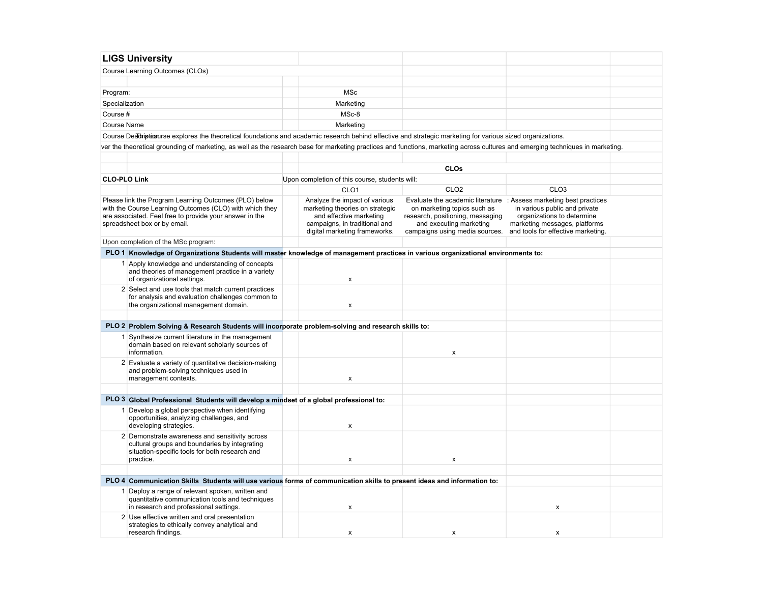|                     | <b>LIGS University</b>                                                                                                                                                                                      |                                                                                                                                                               |                                                                                                                              |                                                                                                                                                                                                          |  |
|---------------------|-------------------------------------------------------------------------------------------------------------------------------------------------------------------------------------------------------------|---------------------------------------------------------------------------------------------------------------------------------------------------------------|------------------------------------------------------------------------------------------------------------------------------|----------------------------------------------------------------------------------------------------------------------------------------------------------------------------------------------------------|--|
|                     |                                                                                                                                                                                                             |                                                                                                                                                               |                                                                                                                              |                                                                                                                                                                                                          |  |
|                     | Course Learning Outcomes (CLOs)                                                                                                                                                                             |                                                                                                                                                               |                                                                                                                              |                                                                                                                                                                                                          |  |
|                     |                                                                                                                                                                                                             |                                                                                                                                                               |                                                                                                                              |                                                                                                                                                                                                          |  |
| Program:            |                                                                                                                                                                                                             | <b>MSc</b>                                                                                                                                                    |                                                                                                                              |                                                                                                                                                                                                          |  |
| Specialization      |                                                                                                                                                                                                             | Marketing                                                                                                                                                     |                                                                                                                              |                                                                                                                                                                                                          |  |
| Course #            |                                                                                                                                                                                                             | MSc-8                                                                                                                                                         |                                                                                                                              |                                                                                                                                                                                                          |  |
| Course Name         |                                                                                                                                                                                                             | Marketing                                                                                                                                                     |                                                                                                                              |                                                                                                                                                                                                          |  |
|                     | Course Destriptionurse explores the theoretical foundations and academic research behind effective and strategic marketing for various sized organizations.                                                 |                                                                                                                                                               |                                                                                                                              |                                                                                                                                                                                                          |  |
|                     | ver the theoretical grounding of marketing, as well as the research base for marketing practices and functions, marketing across cultures and emerging techniques in marketing.                             |                                                                                                                                                               |                                                                                                                              |                                                                                                                                                                                                          |  |
|                     |                                                                                                                                                                                                             |                                                                                                                                                               |                                                                                                                              |                                                                                                                                                                                                          |  |
|                     |                                                                                                                                                                                                             |                                                                                                                                                               | <b>CLOs</b>                                                                                                                  |                                                                                                                                                                                                          |  |
| <b>CLO-PLO Link</b> |                                                                                                                                                                                                             | Upon completion of this course, students will:                                                                                                                |                                                                                                                              |                                                                                                                                                                                                          |  |
|                     |                                                                                                                                                                                                             | CLO <sub>1</sub>                                                                                                                                              | CLO <sub>2</sub>                                                                                                             | CLO <sub>3</sub>                                                                                                                                                                                         |  |
|                     | Please link the Program Learning Outcomes (PLO) below<br>with the Course Learning Outcomes (CLO) with which they<br>are associated. Feel free to provide your answer in the<br>spreadsheet box or by email. | Analyze the impact of various<br>marketing theories on strategic<br>and effective marketing<br>campaigns, in traditional and<br>digital marketing frameworks. | on marketing topics such as<br>research, positioning, messaging<br>and executing marketing<br>campaigns using media sources. | Evaluate the academic literature : Assess marketing best practices<br>in various public and private<br>organizations to determine<br>marketing messages, platforms<br>and tools for effective marketing. |  |
|                     | Upon completion of the MSc program:                                                                                                                                                                         |                                                                                                                                                               |                                                                                                                              |                                                                                                                                                                                                          |  |
|                     | PLO 1 Knowledge of Organizations Students will master knowledge of management practices in various organizational environments to:                                                                          |                                                                                                                                                               |                                                                                                                              |                                                                                                                                                                                                          |  |
|                     | 1 Apply knowledge and understanding of concepts<br>and theories of management practice in a variety<br>of organizational settings.                                                                          | $\pmb{\mathsf{x}}$                                                                                                                                            |                                                                                                                              |                                                                                                                                                                                                          |  |
|                     | 2 Select and use tools that match current practices<br>for analysis and evaluation challenges common to<br>the organizational management domain.                                                            | X                                                                                                                                                             |                                                                                                                              |                                                                                                                                                                                                          |  |
|                     | PLO 2 Problem Solving & Research Students will incorporate problem-solving and research skills to:                                                                                                          |                                                                                                                                                               |                                                                                                                              |                                                                                                                                                                                                          |  |
|                     | 1 Synthesize current literature in the management<br>domain based on relevant scholarly sources of<br>information.                                                                                          |                                                                                                                                                               | x                                                                                                                            |                                                                                                                                                                                                          |  |
|                     | 2 Evaluate a variety of quantitative decision-making<br>and problem-solving techniques used in<br>management contexts.                                                                                      | x                                                                                                                                                             |                                                                                                                              |                                                                                                                                                                                                          |  |
|                     |                                                                                                                                                                                                             |                                                                                                                                                               |                                                                                                                              |                                                                                                                                                                                                          |  |
|                     | PLO 3 Global Professional Students will develop a mindset of a global professional to:                                                                                                                      |                                                                                                                                                               |                                                                                                                              |                                                                                                                                                                                                          |  |
|                     | 1 Develop a global perspective when identifying<br>opportunities, analyzing challenges, and<br>developing strategies.                                                                                       | x                                                                                                                                                             |                                                                                                                              |                                                                                                                                                                                                          |  |
|                     | 2 Demonstrate awareness and sensitivity across<br>cultural groups and boundaries by integrating<br>situation-specific tools for both research and<br>practice.                                              | $\pmb{\mathsf{x}}$                                                                                                                                            | x                                                                                                                            |                                                                                                                                                                                                          |  |
|                     |                                                                                                                                                                                                             |                                                                                                                                                               |                                                                                                                              |                                                                                                                                                                                                          |  |
|                     | PLO 4 Communication Skills Students will use various forms of communication skills to present ideas and information to:                                                                                     |                                                                                                                                                               |                                                                                                                              |                                                                                                                                                                                                          |  |
|                     | 1 Deploy a range of relevant spoken, written and<br>quantitative communication tools and techniques<br>in research and professional settings.                                                               | $\mathsf{x}$                                                                                                                                                  |                                                                                                                              | X                                                                                                                                                                                                        |  |
|                     | 2 Use effective written and oral presentation<br>strategies to ethically convey analytical and<br>research findings.                                                                                        | х                                                                                                                                                             | х                                                                                                                            | х                                                                                                                                                                                                        |  |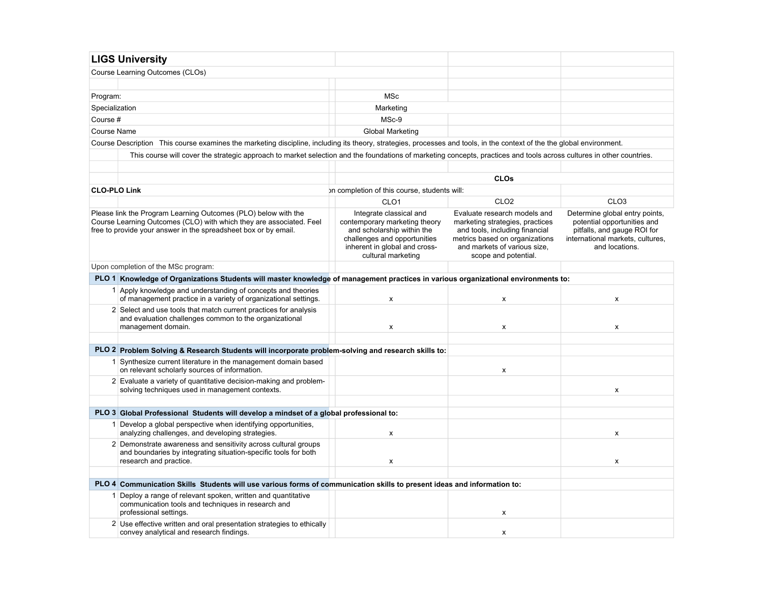|                     | <b>LIGS University</b>                                                                                                                                                                                   |                                                                                                                                                                               |                                                                                                                                                                                             |                                                                                                                                                    |
|---------------------|----------------------------------------------------------------------------------------------------------------------------------------------------------------------------------------------------------|-------------------------------------------------------------------------------------------------------------------------------------------------------------------------------|---------------------------------------------------------------------------------------------------------------------------------------------------------------------------------------------|----------------------------------------------------------------------------------------------------------------------------------------------------|
|                     | Course Learning Outcomes (CLOs)                                                                                                                                                                          |                                                                                                                                                                               |                                                                                                                                                                                             |                                                                                                                                                    |
|                     |                                                                                                                                                                                                          |                                                                                                                                                                               |                                                                                                                                                                                             |                                                                                                                                                    |
| Program:            |                                                                                                                                                                                                          | MSc                                                                                                                                                                           |                                                                                                                                                                                             |                                                                                                                                                    |
| Specialization      |                                                                                                                                                                                                          | Marketing                                                                                                                                                                     |                                                                                                                                                                                             |                                                                                                                                                    |
| Course #            |                                                                                                                                                                                                          | MSc-9                                                                                                                                                                         |                                                                                                                                                                                             |                                                                                                                                                    |
| Course Name         |                                                                                                                                                                                                          | <b>Global Marketing</b>                                                                                                                                                       |                                                                                                                                                                                             |                                                                                                                                                    |
|                     | Course Description This course examines the marketing discipline, including its theory, strategies, processes and tools, in the context of the the global environment.                                   |                                                                                                                                                                               |                                                                                                                                                                                             |                                                                                                                                                    |
|                     | This course will cover the strategic approach to market selection and the foundations of marketing concepts, practices and tools across cultures in other countries.                                     |                                                                                                                                                                               |                                                                                                                                                                                             |                                                                                                                                                    |
|                     |                                                                                                                                                                                                          |                                                                                                                                                                               |                                                                                                                                                                                             |                                                                                                                                                    |
|                     |                                                                                                                                                                                                          |                                                                                                                                                                               | <b>CLOs</b>                                                                                                                                                                                 |                                                                                                                                                    |
| <b>CLO-PLO Link</b> |                                                                                                                                                                                                          | on completion of this course, students will:                                                                                                                                  |                                                                                                                                                                                             |                                                                                                                                                    |
|                     |                                                                                                                                                                                                          | CLO <sub>1</sub>                                                                                                                                                              | CLO <sub>2</sub>                                                                                                                                                                            | CLO <sub>3</sub>                                                                                                                                   |
|                     | Please link the Program Learning Outcomes (PLO) below with the<br>Course Learning Outcomes (CLO) with which they are associated. Feel<br>free to provide your answer in the spreadsheet box or by email. | Integrate classical and<br>contemporary marketing theory<br>and scholarship within the<br>challenges and opportunities<br>inherent in global and cross-<br>cultural marketing | Evaluate research models and<br>marketing strategies, practices<br>and tools, including financial<br>metrics based on organizations<br>and markets of various size.<br>scope and potential. | Determine global entry points,<br>potential opportunities and<br>pitfalls, and gauge ROI for<br>international markets, cultures,<br>and locations. |
|                     | Upon completion of the MSc program:                                                                                                                                                                      |                                                                                                                                                                               |                                                                                                                                                                                             |                                                                                                                                                    |
|                     | PLO 1 Knowledge of Organizations Students will master knowledge of management practices in various organizational environments to:                                                                       |                                                                                                                                                                               |                                                                                                                                                                                             |                                                                                                                                                    |
|                     | 1 Apply knowledge and understanding of concepts and theories<br>of management practice in a variety of organizational settings.                                                                          | X                                                                                                                                                                             | $\mathsf{x}$                                                                                                                                                                                | x                                                                                                                                                  |
|                     | 2 Select and use tools that match current practices for analysis<br>and evaluation challenges common to the organizational<br>management domain.                                                         | x                                                                                                                                                                             | X                                                                                                                                                                                           | X                                                                                                                                                  |
|                     |                                                                                                                                                                                                          |                                                                                                                                                                               |                                                                                                                                                                                             |                                                                                                                                                    |
|                     | PLO 2 Problem Solving & Research Students will incorporate problem-solving and research skills to:                                                                                                       |                                                                                                                                                                               |                                                                                                                                                                                             |                                                                                                                                                    |
|                     | 1 Synthesize current literature in the management domain based<br>on relevant scholarly sources of information.                                                                                          |                                                                                                                                                                               | X                                                                                                                                                                                           |                                                                                                                                                    |
|                     | 2 Evaluate a variety of quantitative decision-making and problem-<br>solving techniques used in management contexts.                                                                                     |                                                                                                                                                                               |                                                                                                                                                                                             | x                                                                                                                                                  |
|                     |                                                                                                                                                                                                          |                                                                                                                                                                               |                                                                                                                                                                                             |                                                                                                                                                    |
|                     | PLO 3 Global Professional Students will develop a mindset of a global professional to:                                                                                                                   |                                                                                                                                                                               |                                                                                                                                                                                             |                                                                                                                                                    |
|                     | 1 Develop a global perspective when identifying opportunities,<br>analyzing challenges, and developing strategies.                                                                                       | X                                                                                                                                                                             |                                                                                                                                                                                             | X                                                                                                                                                  |
|                     | 2 Demonstrate awareness and sensitivity across cultural groups<br>and boundaries by integrating situation-specific tools for both<br>research and practice.                                              | X                                                                                                                                                                             |                                                                                                                                                                                             | x                                                                                                                                                  |
|                     |                                                                                                                                                                                                          |                                                                                                                                                                               |                                                                                                                                                                                             |                                                                                                                                                    |
|                     | PLO 4 Communication Skills Students will use various forms of communication skills to present ideas and information to:                                                                                  |                                                                                                                                                                               |                                                                                                                                                                                             |                                                                                                                                                    |
|                     | 1 Deploy a range of relevant spoken, written and quantitative<br>communication tools and techniques in research and<br>professional settings.                                                            |                                                                                                                                                                               | x                                                                                                                                                                                           |                                                                                                                                                    |
|                     | 2 Use effective written and oral presentation strategies to ethically<br>convey analytical and research findings.                                                                                        |                                                                                                                                                                               | X                                                                                                                                                                                           |                                                                                                                                                    |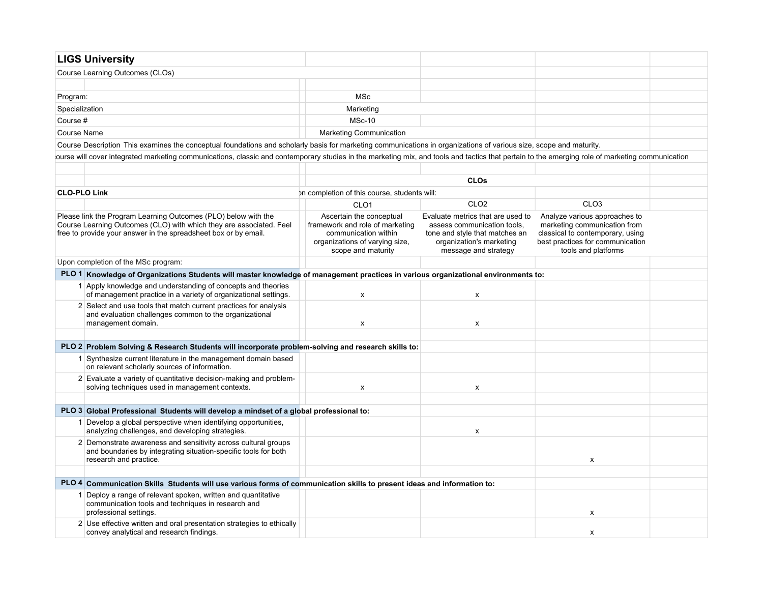| <b>LIGS University</b>                                                                                                                                                                                   |                                                                                                                                             |                                                                                                                                                        |                                                                                                                                                              |  |
|----------------------------------------------------------------------------------------------------------------------------------------------------------------------------------------------------------|---------------------------------------------------------------------------------------------------------------------------------------------|--------------------------------------------------------------------------------------------------------------------------------------------------------|--------------------------------------------------------------------------------------------------------------------------------------------------------------|--|
| Course Learning Outcomes (CLOs)                                                                                                                                                                          |                                                                                                                                             |                                                                                                                                                        |                                                                                                                                                              |  |
|                                                                                                                                                                                                          |                                                                                                                                             |                                                                                                                                                        |                                                                                                                                                              |  |
| Program:                                                                                                                                                                                                 | <b>MSc</b>                                                                                                                                  |                                                                                                                                                        |                                                                                                                                                              |  |
| Specialization                                                                                                                                                                                           | Marketing                                                                                                                                   |                                                                                                                                                        |                                                                                                                                                              |  |
| Course #                                                                                                                                                                                                 | <b>MSc-10</b>                                                                                                                               |                                                                                                                                                        |                                                                                                                                                              |  |
| Course Name                                                                                                                                                                                              | <b>Marketing Communication</b>                                                                                                              |                                                                                                                                                        |                                                                                                                                                              |  |
| Course Description This examines the conceptual foundations and scholarly basis for marketing communications in organizations of various size, scope and maturity.                                       |                                                                                                                                             |                                                                                                                                                        |                                                                                                                                                              |  |
| lourse will cover integrated marketing communications, classic and contemporary studies in the marketing mix, and tools and tactics that pertain to the emerging role of marketing communication         |                                                                                                                                             |                                                                                                                                                        |                                                                                                                                                              |  |
|                                                                                                                                                                                                          |                                                                                                                                             |                                                                                                                                                        |                                                                                                                                                              |  |
|                                                                                                                                                                                                          |                                                                                                                                             | <b>CLOs</b>                                                                                                                                            |                                                                                                                                                              |  |
| <b>CLO-PLO Link</b>                                                                                                                                                                                      | on completion of this course, students will:                                                                                                |                                                                                                                                                        |                                                                                                                                                              |  |
|                                                                                                                                                                                                          | CLO <sub>1</sub>                                                                                                                            | CLO <sub>2</sub>                                                                                                                                       | CLO <sub>3</sub>                                                                                                                                             |  |
| Please link the Program Learning Outcomes (PLO) below with the<br>Course Learning Outcomes (CLO) with which they are associated. Feel<br>free to provide your answer in the spreadsheet box or by email. | Ascertain the conceptual<br>framework and role of marketing<br>communication within<br>organizations of varying size,<br>scope and maturity | Evaluate metrics that are used to<br>assess communication tools.<br>tone and style that matches an<br>organization's marketing<br>message and strategy | Analyze various approaches to<br>marketing communication from<br>classical to contemporary, using<br>best practices for communication<br>tools and platforms |  |
| Upon completion of the MSc program:                                                                                                                                                                      |                                                                                                                                             |                                                                                                                                                        |                                                                                                                                                              |  |
| PLO 1 Knowledge of Organizations Students will master knowledge of management practices in various organizational environments to:                                                                       |                                                                                                                                             |                                                                                                                                                        |                                                                                                                                                              |  |
| 1 Apply knowledge and understanding of concepts and theories<br>of management practice in a variety of organizational settings.                                                                          | x                                                                                                                                           | X                                                                                                                                                      |                                                                                                                                                              |  |
| 2 Select and use tools that match current practices for analysis<br>and evaluation challenges common to the organizational<br>management domain.                                                         | $\pmb{\times}$                                                                                                                              | X                                                                                                                                                      |                                                                                                                                                              |  |
|                                                                                                                                                                                                          |                                                                                                                                             |                                                                                                                                                        |                                                                                                                                                              |  |
| PLO 2 Problem Solving & Research Students will incorporate problem-solving and research skills to:                                                                                                       |                                                                                                                                             |                                                                                                                                                        |                                                                                                                                                              |  |
| 1 Synthesize current literature in the management domain based<br>on relevant scholarly sources of information.                                                                                          |                                                                                                                                             |                                                                                                                                                        |                                                                                                                                                              |  |
| 2 Evaluate a variety of quantitative decision-making and problem-<br>solving techniques used in management contexts.                                                                                     | X                                                                                                                                           | X                                                                                                                                                      |                                                                                                                                                              |  |
|                                                                                                                                                                                                          |                                                                                                                                             |                                                                                                                                                        |                                                                                                                                                              |  |
| PLO 3 Global Professional Students will develop a mindset of a global professional to:                                                                                                                   |                                                                                                                                             |                                                                                                                                                        |                                                                                                                                                              |  |
| 1 Develop a global perspective when identifying opportunities,<br>analyzing challenges, and developing strategies.                                                                                       |                                                                                                                                             | X                                                                                                                                                      |                                                                                                                                                              |  |
| 2 Demonstrate awareness and sensitivity across cultural groups<br>and boundaries by integrating situation-specific tools for both<br>research and practice.                                              |                                                                                                                                             |                                                                                                                                                        | $\mathsf{x}$                                                                                                                                                 |  |
|                                                                                                                                                                                                          |                                                                                                                                             |                                                                                                                                                        |                                                                                                                                                              |  |
| PLO 4 Communication Skills Students will use various forms of communication skills to present ideas and information to:                                                                                  |                                                                                                                                             |                                                                                                                                                        |                                                                                                                                                              |  |
| 1 Deploy a range of relevant spoken, written and quantitative<br>communication tools and techniques in research and                                                                                      |                                                                                                                                             |                                                                                                                                                        |                                                                                                                                                              |  |
| professional settings.                                                                                                                                                                                   |                                                                                                                                             |                                                                                                                                                        | X                                                                                                                                                            |  |
| 2 Use effective written and oral presentation strategies to ethically<br>convey analytical and research findings.                                                                                        |                                                                                                                                             |                                                                                                                                                        | x                                                                                                                                                            |  |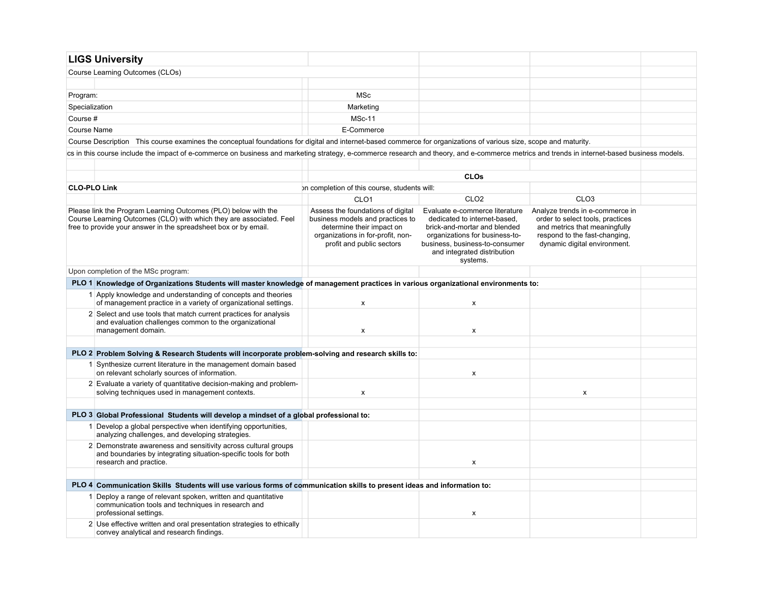| <b>LIGS University</b>                                                                                                                                                                                                          |            |   |   |  |
|---------------------------------------------------------------------------------------------------------------------------------------------------------------------------------------------------------------------------------|------------|---|---|--|
| Course Learning Outcomes (CLOs)                                                                                                                                                                                                 |            |   |   |  |
|                                                                                                                                                                                                                                 |            |   |   |  |
| Program:                                                                                                                                                                                                                        | MSc        |   |   |  |
| Specialization                                                                                                                                                                                                                  | Marketing  |   |   |  |
| Course #                                                                                                                                                                                                                        | $MSc-11$   |   |   |  |
| Course Name                                                                                                                                                                                                                     | E-Commerce |   |   |  |
| $\sim$ . The contract of the contract of the contract of the contract of the contract of the contract of the contract of the contract of the contract of the contract of the contract of the contract of the contract of the co |            | . | . |  |

Course Description This course examines the conceptual foundations for digital and internet-based commerce for organizations of various size, scope and maturity.

ics in this course include the impact of e-commerce on business and marketing strategy, e-commerce research and theory, and e-commerce metrics and trends in internet-based business models.

|                     |                                                                                                                                                                                                          |                                                                                                                                                                      | <b>CLOs</b>                                                                                                                                                                                                   |                                                                                                                                                                       |  |
|---------------------|----------------------------------------------------------------------------------------------------------------------------------------------------------------------------------------------------------|----------------------------------------------------------------------------------------------------------------------------------------------------------------------|---------------------------------------------------------------------------------------------------------------------------------------------------------------------------------------------------------------|-----------------------------------------------------------------------------------------------------------------------------------------------------------------------|--|
| <b>CLO-PLO Link</b> |                                                                                                                                                                                                          | on completion of this course, students will:                                                                                                                         |                                                                                                                                                                                                               |                                                                                                                                                                       |  |
|                     |                                                                                                                                                                                                          | CLO <sub>1</sub>                                                                                                                                                     | CLO <sub>2</sub>                                                                                                                                                                                              | CLO <sub>3</sub>                                                                                                                                                      |  |
|                     | Please link the Program Learning Outcomes (PLO) below with the<br>Course Learning Outcomes (CLO) with which they are associated. Feel<br>free to provide your answer in the spreadsheet box or by email. | Assess the foundations of digital<br>business models and practices to<br>determine their impact on<br>organizations in for-profit, non-<br>profit and public sectors | Evaluate e-commerce literature<br>dedicated to internet-based.<br>brick-and-mortar and blended<br>organizations for business-to-<br>business, business-to-consumer<br>and integrated distribution<br>systems. | Analyze trends in e-commerce in<br>order to select tools, practices<br>and metrics that meaningfully<br>respond to the fast-changing,<br>dynamic digital environment. |  |
|                     | Upon completion of the MSc program:                                                                                                                                                                      |                                                                                                                                                                      |                                                                                                                                                                                                               |                                                                                                                                                                       |  |
|                     | PLO 1 Knowledge of Organizations Students will master knowledge of management practices in various organizational environments to:                                                                       |                                                                                                                                                                      |                                                                                                                                                                                                               |                                                                                                                                                                       |  |
|                     | 1 Apply knowledge and understanding of concepts and theories<br>of management practice in a variety of organizational settings.                                                                          | x                                                                                                                                                                    | x                                                                                                                                                                                                             |                                                                                                                                                                       |  |
|                     | 2 Select and use tools that match current practices for analysis<br>and evaluation challenges common to the organizational<br>management domain.                                                         | x                                                                                                                                                                    | x                                                                                                                                                                                                             |                                                                                                                                                                       |  |
|                     |                                                                                                                                                                                                          |                                                                                                                                                                      |                                                                                                                                                                                                               |                                                                                                                                                                       |  |
|                     | PLO 2 Problem Solving & Research Students will incorporate problem-solving and research skills to:                                                                                                       |                                                                                                                                                                      |                                                                                                                                                                                                               |                                                                                                                                                                       |  |
|                     | 1 Synthesize current literature in the management domain based<br>on relevant scholarly sources of information.                                                                                          |                                                                                                                                                                      | X                                                                                                                                                                                                             |                                                                                                                                                                       |  |
|                     | 2 Evaluate a variety of quantitative decision-making and problem-<br>solving techniques used in management contexts.                                                                                     | X                                                                                                                                                                    |                                                                                                                                                                                                               | $\mathsf{x}$                                                                                                                                                          |  |
|                     |                                                                                                                                                                                                          |                                                                                                                                                                      |                                                                                                                                                                                                               |                                                                                                                                                                       |  |
|                     | PLO 3 Global Professional Students will develop a mindset of a global professional to:                                                                                                                   |                                                                                                                                                                      |                                                                                                                                                                                                               |                                                                                                                                                                       |  |
|                     | 1 Develop a global perspective when identifying opportunities,<br>analyzing challenges, and developing strategies.                                                                                       |                                                                                                                                                                      |                                                                                                                                                                                                               |                                                                                                                                                                       |  |
|                     | 2 Demonstrate awareness and sensitivity across cultural groups<br>and boundaries by integrating situation-specific tools for both<br>research and practice.                                              |                                                                                                                                                                      | x                                                                                                                                                                                                             |                                                                                                                                                                       |  |
|                     |                                                                                                                                                                                                          |                                                                                                                                                                      |                                                                                                                                                                                                               |                                                                                                                                                                       |  |
|                     | PLO 4 Communication Skills Students will use various forms of communication skills to present ideas and information to:                                                                                  |                                                                                                                                                                      |                                                                                                                                                                                                               |                                                                                                                                                                       |  |
|                     | Deploy a range of relevant spoken, written and quantitative<br>communication tools and techniques in research and<br>professional settings.                                                              |                                                                                                                                                                      | x                                                                                                                                                                                                             |                                                                                                                                                                       |  |
|                     | 2 Use effective written and oral presentation strategies to ethically<br>convey analytical and research findings.                                                                                        |                                                                                                                                                                      |                                                                                                                                                                                                               |                                                                                                                                                                       |  |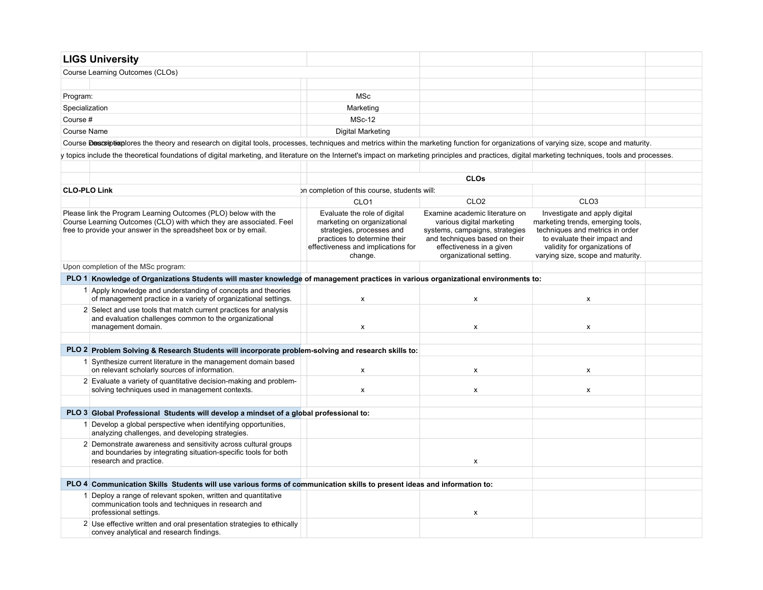| <b>LIGS University</b> |                                                                                                                                                                                                          |                                                                                                                                                                           |                                                                                                                                                                                       |                                                                                                                                                                                                             |  |
|------------------------|----------------------------------------------------------------------------------------------------------------------------------------------------------------------------------------------------------|---------------------------------------------------------------------------------------------------------------------------------------------------------------------------|---------------------------------------------------------------------------------------------------------------------------------------------------------------------------------------|-------------------------------------------------------------------------------------------------------------------------------------------------------------------------------------------------------------|--|
|                        | Course Learning Outcomes (CLOs)                                                                                                                                                                          |                                                                                                                                                                           |                                                                                                                                                                                       |                                                                                                                                                                                                             |  |
|                        |                                                                                                                                                                                                          |                                                                                                                                                                           |                                                                                                                                                                                       |                                                                                                                                                                                                             |  |
| Program:               |                                                                                                                                                                                                          | <b>MSc</b>                                                                                                                                                                |                                                                                                                                                                                       |                                                                                                                                                                                                             |  |
| Specialization         |                                                                                                                                                                                                          | Marketing                                                                                                                                                                 |                                                                                                                                                                                       |                                                                                                                                                                                                             |  |
| Course #               |                                                                                                                                                                                                          | <b>MSc-12</b>                                                                                                                                                             |                                                                                                                                                                                       |                                                                                                                                                                                                             |  |
| <b>Course Name</b>     |                                                                                                                                                                                                          | Digital Marketing                                                                                                                                                         |                                                                                                                                                                                       |                                                                                                                                                                                                             |  |
|                        | Course Descriptionlores the theory and research on digital tools, processes, techniques and metrics within the marketing function for organizations of varying size, scope and maturity.                 |                                                                                                                                                                           |                                                                                                                                                                                       |                                                                                                                                                                                                             |  |
|                        | y topics include the theoretical foundations of digital marketing, and literature on the Internet's impact on marketing principles and practices, digital marketing techniques, tools and processes.     |                                                                                                                                                                           |                                                                                                                                                                                       |                                                                                                                                                                                                             |  |
|                        |                                                                                                                                                                                                          |                                                                                                                                                                           |                                                                                                                                                                                       |                                                                                                                                                                                                             |  |
|                        |                                                                                                                                                                                                          |                                                                                                                                                                           | <b>CLOs</b>                                                                                                                                                                           |                                                                                                                                                                                                             |  |
| <b>CLO-PLO Link</b>    |                                                                                                                                                                                                          | on completion of this course, students will:                                                                                                                              |                                                                                                                                                                                       |                                                                                                                                                                                                             |  |
|                        |                                                                                                                                                                                                          | CLO <sub>1</sub>                                                                                                                                                          | CLO <sub>2</sub>                                                                                                                                                                      | CLO <sub>3</sub>                                                                                                                                                                                            |  |
|                        | Please link the Program Learning Outcomes (PLO) below with the<br>Course Learning Outcomes (CLO) with which they are associated. Feel<br>free to provide your answer in the spreadsheet box or by email. | Evaluate the role of digital<br>marketing on organizational<br>strategies, processes and<br>practices to determine their<br>effectiveness and implications for<br>change. | Examine academic literature on<br>various digital marketing<br>systems, campaigns, strategies<br>and techniques based on their<br>effectiveness in a given<br>organizational setting. | Investigate and apply digital<br>marketing trends, emerging tools,<br>techniques and metrics in order<br>to evaluate their impact and<br>validity for organizations of<br>varying size, scope and maturity. |  |
|                        | Upon completion of the MSc program:                                                                                                                                                                      |                                                                                                                                                                           |                                                                                                                                                                                       |                                                                                                                                                                                                             |  |
|                        | PLO 1 Knowledge of Organizations Students will master knowledge of management practices in various organizational environments to:                                                                       |                                                                                                                                                                           |                                                                                                                                                                                       |                                                                                                                                                                                                             |  |
|                        | 1 Apply knowledge and understanding of concepts and theories<br>of management practice in a variety of organizational settings.                                                                          | $\pmb{\times}$                                                                                                                                                            | x                                                                                                                                                                                     | $\pmb{\times}$                                                                                                                                                                                              |  |
|                        | 2 Select and use tools that match current practices for analysis<br>and evaluation challenges common to the organizational<br>management domain.                                                         | X                                                                                                                                                                         | X                                                                                                                                                                                     | $\pmb{\times}$                                                                                                                                                                                              |  |
|                        | PLO 2 Problem Solving & Research Students will incorporate problem-solving and research skills to:                                                                                                       |                                                                                                                                                                           |                                                                                                                                                                                       |                                                                                                                                                                                                             |  |
|                        | 1 Synthesize current literature in the management domain based<br>on relevant scholarly sources of information.                                                                                          | X                                                                                                                                                                         | X                                                                                                                                                                                     | X                                                                                                                                                                                                           |  |
|                        | 2 Evaluate a variety of quantitative decision-making and problem-<br>solving techniques used in management contexts.                                                                                     | X                                                                                                                                                                         | $\pmb{\mathsf{x}}$                                                                                                                                                                    | $\pmb{\mathsf{x}}$                                                                                                                                                                                          |  |
|                        |                                                                                                                                                                                                          |                                                                                                                                                                           |                                                                                                                                                                                       |                                                                                                                                                                                                             |  |
|                        | PLO 3 Global Professional Students will develop a mindset of a global professional to:                                                                                                                   |                                                                                                                                                                           |                                                                                                                                                                                       |                                                                                                                                                                                                             |  |
|                        | 1 Develop a global perspective when identifying opportunities.<br>analyzing challenges, and developing strategies.                                                                                       |                                                                                                                                                                           |                                                                                                                                                                                       |                                                                                                                                                                                                             |  |
|                        | 2 Demonstrate awareness and sensitivity across cultural groups<br>and boundaries by integrating situation-specific tools for both<br>research and practice.                                              |                                                                                                                                                                           | X                                                                                                                                                                                     |                                                                                                                                                                                                             |  |
|                        | PLO 4 Communication Skills Students will use various forms of communication skills to present ideas and information to:                                                                                  |                                                                                                                                                                           |                                                                                                                                                                                       |                                                                                                                                                                                                             |  |
|                        | 1 Deploy a range of relevant spoken, written and quantitative<br>communication tools and techniques in research and                                                                                      |                                                                                                                                                                           |                                                                                                                                                                                       |                                                                                                                                                                                                             |  |
|                        | professional settings.<br>2 Use effective written and oral presentation strategies to ethically<br>convey analytical and research findings.                                                              |                                                                                                                                                                           | X                                                                                                                                                                                     |                                                                                                                                                                                                             |  |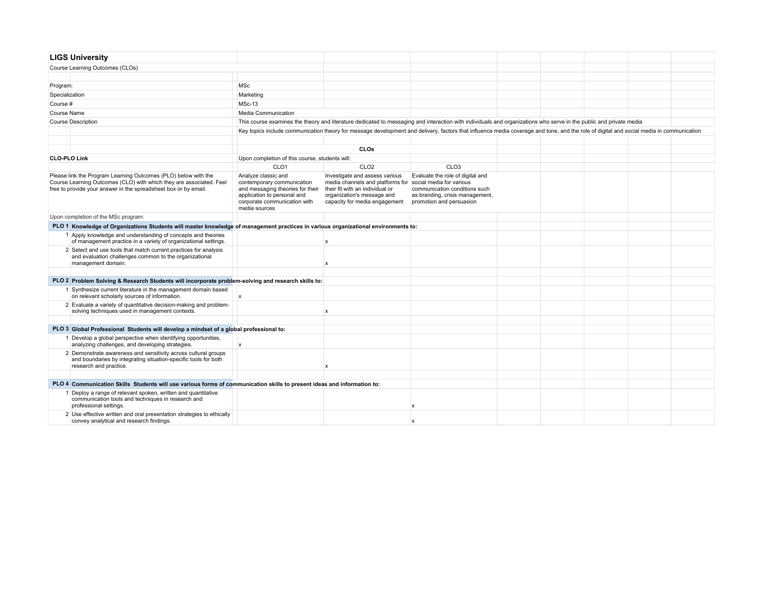| <b>LIGS University</b>                                                                                                                                                                                   |                                                                                                                                                                       |                                                                                                                                                                                               |                                                                                                                                                                                         |  |  |  |  |
|----------------------------------------------------------------------------------------------------------------------------------------------------------------------------------------------------------|-----------------------------------------------------------------------------------------------------------------------------------------------------------------------|-----------------------------------------------------------------------------------------------------------------------------------------------------------------------------------------------|-----------------------------------------------------------------------------------------------------------------------------------------------------------------------------------------|--|--|--|--|
| Course Learning Outcomes (CLOs)                                                                                                                                                                          |                                                                                                                                                                       |                                                                                                                                                                                               |                                                                                                                                                                                         |  |  |  |  |
|                                                                                                                                                                                                          |                                                                                                                                                                       |                                                                                                                                                                                               |                                                                                                                                                                                         |  |  |  |  |
| Program:                                                                                                                                                                                                 | <b>MSc</b>                                                                                                                                                            |                                                                                                                                                                                               |                                                                                                                                                                                         |  |  |  |  |
| Specialization                                                                                                                                                                                           | Marketing                                                                                                                                                             |                                                                                                                                                                                               |                                                                                                                                                                                         |  |  |  |  |
| Course #                                                                                                                                                                                                 | <b>MSc-13</b>                                                                                                                                                         |                                                                                                                                                                                               |                                                                                                                                                                                         |  |  |  |  |
| Course Name                                                                                                                                                                                              | Media Communication                                                                                                                                                   |                                                                                                                                                                                               |                                                                                                                                                                                         |  |  |  |  |
| <b>Course Description</b>                                                                                                                                                                                |                                                                                                                                                                       |                                                                                                                                                                                               | This course examines the theory and literature dedicated to messaging and interaction with individuals and organizations who serve in the public and private media                      |  |  |  |  |
|                                                                                                                                                                                                          |                                                                                                                                                                       |                                                                                                                                                                                               | Key topics include communication theory for message development and delivery, factors that influence media coverage and tone, and the role of digital and social media in communication |  |  |  |  |
|                                                                                                                                                                                                          |                                                                                                                                                                       |                                                                                                                                                                                               |                                                                                                                                                                                         |  |  |  |  |
|                                                                                                                                                                                                          |                                                                                                                                                                       | CLOs                                                                                                                                                                                          |                                                                                                                                                                                         |  |  |  |  |
| <b>CLO-PLO Link</b>                                                                                                                                                                                      | Upon completion of this course, students will:                                                                                                                        |                                                                                                                                                                                               |                                                                                                                                                                                         |  |  |  |  |
|                                                                                                                                                                                                          | CLO <sub>1</sub>                                                                                                                                                      | CLO <sub>2</sub>                                                                                                                                                                              | CLO <sub>3</sub>                                                                                                                                                                        |  |  |  |  |
| Please link the Program Learning Outcomes (PLO) below with the<br>Course Learning Outcomes (CLO) with which they are associated. Feel<br>free to provide your answer in the spreadsheet box or by email. | Analyze classic and<br>contemporary communication<br>and messaging theories for their<br>application to personal and<br>corporate communication with<br>media sources | Investigate and assess various<br>media channels and platforms for social media for various<br>their fit with an individual or<br>organization's message and<br>capacity for media engagement | Evaluate the role of digital and<br>communication conditions such<br>as branding, crisis management,<br>promotion and persuasion                                                        |  |  |  |  |
| Upon completion of the MSc program:                                                                                                                                                                      |                                                                                                                                                                       |                                                                                                                                                                                               |                                                                                                                                                                                         |  |  |  |  |
| PLO 1 Knowledge of Organizations Students will master knowledge of management practices in various organizational environments to:                                                                       |                                                                                                                                                                       |                                                                                                                                                                                               |                                                                                                                                                                                         |  |  |  |  |
| 1 Apply knowledge and understanding of concepts and theories<br>of management practice in a variety of organizational settings.                                                                          |                                                                                                                                                                       | $\boldsymbol{\mathsf{x}}$                                                                                                                                                                     |                                                                                                                                                                                         |  |  |  |  |
| 2 Select and use tools that match current practices for analysis<br>and evaluation challenges common to the organizational<br>management domain.                                                         |                                                                                                                                                                       | $\boldsymbol{\mathsf{x}}$                                                                                                                                                                     |                                                                                                                                                                                         |  |  |  |  |
|                                                                                                                                                                                                          |                                                                                                                                                                       |                                                                                                                                                                                               |                                                                                                                                                                                         |  |  |  |  |
| PLO 2 Problem Solving & Research Students will incorporate problem-solving and research skills to:                                                                                                       |                                                                                                                                                                       |                                                                                                                                                                                               |                                                                                                                                                                                         |  |  |  |  |
| 1 Synthesize current literature in the management domain based<br>on relevant scholarly sources of information.                                                                                          | $\mathsf{x}$                                                                                                                                                          |                                                                                                                                                                                               |                                                                                                                                                                                         |  |  |  |  |
| 2 Evaluate a variety of quantitative decision-making and problem-<br>solving techniques used in management contexts.                                                                                     |                                                                                                                                                                       | $\boldsymbol{\mathsf{x}}$                                                                                                                                                                     |                                                                                                                                                                                         |  |  |  |  |
|                                                                                                                                                                                                          |                                                                                                                                                                       |                                                                                                                                                                                               |                                                                                                                                                                                         |  |  |  |  |
| PLO 3 Global Professional Students will develop a mindset of a global professional to:<br>1 Develop a global perspective when identifying opportunities,                                                 |                                                                                                                                                                       |                                                                                                                                                                                               |                                                                                                                                                                                         |  |  |  |  |
| analyzing challenges, and developing strategies.                                                                                                                                                         | $\mathsf{x}$                                                                                                                                                          |                                                                                                                                                                                               |                                                                                                                                                                                         |  |  |  |  |
| 2 Demonstrate awareness and sensitivity across cultural groups<br>and boundaries by integrating situation-specific tools for both<br>research and practice.                                              |                                                                                                                                                                       | $\boldsymbol{\mathsf{x}}$                                                                                                                                                                     |                                                                                                                                                                                         |  |  |  |  |
|                                                                                                                                                                                                          |                                                                                                                                                                       |                                                                                                                                                                                               |                                                                                                                                                                                         |  |  |  |  |
| PLO 4 Communication Skills Students will use various forms of communication skills to present ideas and information to:                                                                                  |                                                                                                                                                                       |                                                                                                                                                                                               |                                                                                                                                                                                         |  |  |  |  |
| 1 Deploy a range of relevant spoken, written and quantitative<br>communication tools and techniques in research and<br>professional settings.                                                            |                                                                                                                                                                       |                                                                                                                                                                                               | x                                                                                                                                                                                       |  |  |  |  |
| 2 Use effective written and oral presentation strategies to ethically<br>convey analytical and research findings.                                                                                        |                                                                                                                                                                       |                                                                                                                                                                                               | x                                                                                                                                                                                       |  |  |  |  |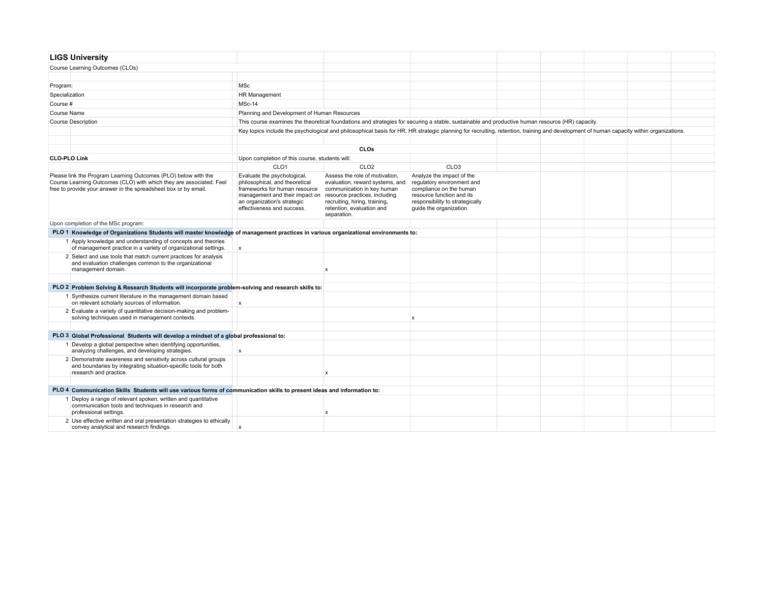| <b>LIGS University</b>                                                                                                                                                                                   |                                                                                                                                                                                                                             |                                                                                                                                                                              |                                                                                                                                                                               |  |  |  |
|----------------------------------------------------------------------------------------------------------------------------------------------------------------------------------------------------------|-----------------------------------------------------------------------------------------------------------------------------------------------------------------------------------------------------------------------------|------------------------------------------------------------------------------------------------------------------------------------------------------------------------------|-------------------------------------------------------------------------------------------------------------------------------------------------------------------------------|--|--|--|
| Course Learning Outcomes (CLOs)                                                                                                                                                                          |                                                                                                                                                                                                                             |                                                                                                                                                                              |                                                                                                                                                                               |  |  |  |
|                                                                                                                                                                                                          |                                                                                                                                                                                                                             |                                                                                                                                                                              |                                                                                                                                                                               |  |  |  |
| Program:                                                                                                                                                                                                 | <b>MSc</b>                                                                                                                                                                                                                  |                                                                                                                                                                              |                                                                                                                                                                               |  |  |  |
| Specialization                                                                                                                                                                                           | HR Management                                                                                                                                                                                                               |                                                                                                                                                                              |                                                                                                                                                                               |  |  |  |
| Course #                                                                                                                                                                                                 | MSc-14                                                                                                                                                                                                                      |                                                                                                                                                                              |                                                                                                                                                                               |  |  |  |
| Course Name                                                                                                                                                                                              | Planning and Development of Human Resources                                                                                                                                                                                 |                                                                                                                                                                              |                                                                                                                                                                               |  |  |  |
| <b>Course Description</b>                                                                                                                                                                                |                                                                                                                                                                                                                             | This course examines the theoretical foundations and strategies for securing a stable, sustainable and productive human resource (HR) capacity.                              |                                                                                                                                                                               |  |  |  |
|                                                                                                                                                                                                          | Key topics include the psychological and philosophical basis for HR, HR strategic planning for recruiting, retention, training and development of human capacity within organizations.                                      |                                                                                                                                                                              |                                                                                                                                                                               |  |  |  |
|                                                                                                                                                                                                          |                                                                                                                                                                                                                             |                                                                                                                                                                              |                                                                                                                                                                               |  |  |  |
|                                                                                                                                                                                                          |                                                                                                                                                                                                                             | CLOs                                                                                                                                                                         |                                                                                                                                                                               |  |  |  |
| <b>CLO-PLO Link</b>                                                                                                                                                                                      | Upon completion of this course, students will:                                                                                                                                                                              |                                                                                                                                                                              |                                                                                                                                                                               |  |  |  |
|                                                                                                                                                                                                          | CLO <sub>1</sub>                                                                                                                                                                                                            | CLO <sub>2</sub>                                                                                                                                                             | CLO <sub>3</sub>                                                                                                                                                              |  |  |  |
| Please link the Program Learning Outcomes (PLO) below with the<br>Course Learning Outcomes (CLO) with which they are associated. Feel<br>free to provide your answer in the spreadsheet box or by email. | Evaluate the psychological,<br>philosophical, and theoretical<br>frameworks for human resource<br>management and their impact on resource practices, including<br>an organization's strategic<br>effectiveness and success. | Assess the role of motivation.<br>evaluation, reward systems, and<br>communication in key human<br>recruiting, hiring, training,<br>retention, evaluation and<br>separation. | Analyze the impact of the<br>regulatory environment and<br>compliance on the human<br>resource function and its<br>responsibility to strategically<br>guide the organization. |  |  |  |
| Upon completion of the MSc program:                                                                                                                                                                      |                                                                                                                                                                                                                             |                                                                                                                                                                              |                                                                                                                                                                               |  |  |  |
| PLO 1 Knowledge of Organizations Students will master knowledge of management practices in various organizational environments to:                                                                       |                                                                                                                                                                                                                             |                                                                                                                                                                              |                                                                                                                                                                               |  |  |  |
| 1 Apply knowledge and understanding of concepts and theories<br>of management practice in a variety of organizational settings.                                                                          | $\mathbf{x}$                                                                                                                                                                                                                |                                                                                                                                                                              |                                                                                                                                                                               |  |  |  |
| 2 Select and use tools that match current practices for analysis<br>and evaluation challenges common to the organizational<br>management domain.                                                         |                                                                                                                                                                                                                             | $\mathbf x$                                                                                                                                                                  |                                                                                                                                                                               |  |  |  |
| PLO 2 Problem Solving & Research Students will incorporate problem-solving and research skills to:                                                                                                       |                                                                                                                                                                                                                             |                                                                                                                                                                              |                                                                                                                                                                               |  |  |  |
| 1 Synthesize current literature in the management domain based<br>on relevant scholarly sources of information.                                                                                          | $\mathsf{x}$                                                                                                                                                                                                                |                                                                                                                                                                              |                                                                                                                                                                               |  |  |  |
| 2 Evaluate a variety of quantitative decision-making and problem-<br>solving techniques used in management contexts.                                                                                     |                                                                                                                                                                                                                             |                                                                                                                                                                              | x                                                                                                                                                                             |  |  |  |
|                                                                                                                                                                                                          |                                                                                                                                                                                                                             |                                                                                                                                                                              |                                                                                                                                                                               |  |  |  |
| PLO 3 Global Professional Students will develop a mindset of a global professional to:                                                                                                                   |                                                                                                                                                                                                                             |                                                                                                                                                                              |                                                                                                                                                                               |  |  |  |
| 1 Develop a global perspective when identifying opportunities,<br>analyzing challenges, and developing strategies.                                                                                       | $\mathsf{x}$                                                                                                                                                                                                                |                                                                                                                                                                              |                                                                                                                                                                               |  |  |  |
| 2 Demonstrate awareness and sensitivity across cultural groups<br>and boundaries by integrating situation-specific tools for both<br>research and practice.                                              |                                                                                                                                                                                                                             | X                                                                                                                                                                            |                                                                                                                                                                               |  |  |  |
|                                                                                                                                                                                                          |                                                                                                                                                                                                                             |                                                                                                                                                                              |                                                                                                                                                                               |  |  |  |
| PLO 4 Communication Skills Students will use various forms of communication skills to present ideas and information to:                                                                                  |                                                                                                                                                                                                                             |                                                                                                                                                                              |                                                                                                                                                                               |  |  |  |
| 1 Deploy a range of relevant spoken, written and quantitative<br>communication tools and techniques in research and<br>professional settings.                                                            |                                                                                                                                                                                                                             | $\mathbf x$                                                                                                                                                                  |                                                                                                                                                                               |  |  |  |
| 2 Use effective written and oral presentation strategies to ethically<br>convey analytical and research findings.                                                                                        | $\mathsf{x}$                                                                                                                                                                                                                |                                                                                                                                                                              |                                                                                                                                                                               |  |  |  |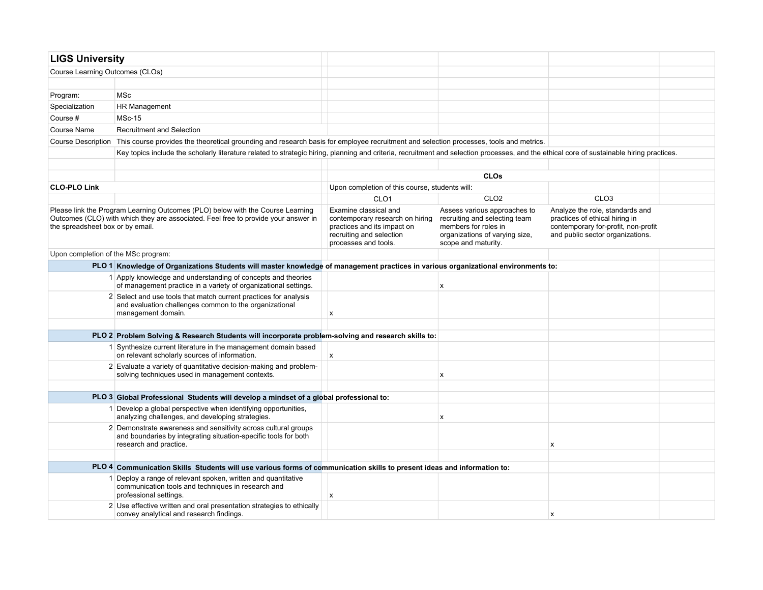| <b>LIGS University</b>                                                                                                                                                                                   |                                                                                                                                                                                            |                                                                                                                                             |                                                                                                                                                |                                                                                                                                              |  |
|----------------------------------------------------------------------------------------------------------------------------------------------------------------------------------------------------------|--------------------------------------------------------------------------------------------------------------------------------------------------------------------------------------------|---------------------------------------------------------------------------------------------------------------------------------------------|------------------------------------------------------------------------------------------------------------------------------------------------|----------------------------------------------------------------------------------------------------------------------------------------------|--|
| Course Learning Outcomes (CLOs)                                                                                                                                                                          |                                                                                                                                                                                            |                                                                                                                                             |                                                                                                                                                |                                                                                                                                              |  |
|                                                                                                                                                                                                          |                                                                                                                                                                                            |                                                                                                                                             |                                                                                                                                                |                                                                                                                                              |  |
| Program:                                                                                                                                                                                                 | <b>MSc</b>                                                                                                                                                                                 |                                                                                                                                             |                                                                                                                                                |                                                                                                                                              |  |
| Specialization                                                                                                                                                                                           | <b>HR Management</b>                                                                                                                                                                       |                                                                                                                                             |                                                                                                                                                |                                                                                                                                              |  |
| Course #                                                                                                                                                                                                 | <b>MSc-15</b>                                                                                                                                                                              |                                                                                                                                             |                                                                                                                                                |                                                                                                                                              |  |
| Course Name                                                                                                                                                                                              | <b>Recruitment and Selection</b>                                                                                                                                                           |                                                                                                                                             |                                                                                                                                                |                                                                                                                                              |  |
|                                                                                                                                                                                                          | Course Description This course provides the theoretical grounding and research basis for employee recruitment and selection processes, tools and metrics.                                  |                                                                                                                                             |                                                                                                                                                |                                                                                                                                              |  |
|                                                                                                                                                                                                          | Key topics include the scholarly literature related to strategic hiring, planning and criteria, recruitment and selection processes, and the ethical core of sustainable hiring practices. |                                                                                                                                             |                                                                                                                                                |                                                                                                                                              |  |
|                                                                                                                                                                                                          |                                                                                                                                                                                            |                                                                                                                                             |                                                                                                                                                |                                                                                                                                              |  |
|                                                                                                                                                                                                          |                                                                                                                                                                                            |                                                                                                                                             | <b>CLOs</b>                                                                                                                                    |                                                                                                                                              |  |
| <b>CLO-PLO Link</b>                                                                                                                                                                                      |                                                                                                                                                                                            | Upon completion of this course, students will:                                                                                              |                                                                                                                                                |                                                                                                                                              |  |
|                                                                                                                                                                                                          |                                                                                                                                                                                            | CLO <sub>1</sub>                                                                                                                            | CLO <sub>2</sub>                                                                                                                               | CLO <sub>3</sub>                                                                                                                             |  |
| Please link the Program Learning Outcomes (PLO) below with the Course Learning<br>Outcomes (CLO) with which they are associated. Feel free to provide your answer in<br>the spreadsheet box or by email. |                                                                                                                                                                                            | Examine classical and<br>contemporary research on hiring<br>practices and its impact on<br>recruiting and selection<br>processes and tools. | Assess various approaches to<br>recruiting and selecting team<br>members for roles in<br>organizations of varying size,<br>scope and maturity. | Analyze the role, standards and<br>practices of ethical hiring in<br>contemporary for-profit, non-profit<br>and public sector organizations. |  |
| Upon completion of the MSc program:                                                                                                                                                                      |                                                                                                                                                                                            |                                                                                                                                             |                                                                                                                                                |                                                                                                                                              |  |
|                                                                                                                                                                                                          | PLO 1 Knowledge of Organizations Students will master knowledge of management practices in various organizational environments to:                                                         |                                                                                                                                             |                                                                                                                                                |                                                                                                                                              |  |
|                                                                                                                                                                                                          | 1 Apply knowledge and understanding of concepts and theories<br>of management practice in a variety of organizational settings.                                                            |                                                                                                                                             | X                                                                                                                                              |                                                                                                                                              |  |
|                                                                                                                                                                                                          | 2 Select and use tools that match current practices for analysis<br>and evaluation challenges common to the organizational<br>management domain.                                           | X                                                                                                                                           |                                                                                                                                                |                                                                                                                                              |  |
|                                                                                                                                                                                                          |                                                                                                                                                                                            |                                                                                                                                             |                                                                                                                                                |                                                                                                                                              |  |
|                                                                                                                                                                                                          | PLO 2 Problem Solving & Research Students will incorporate problem-solving and research skills to:                                                                                         |                                                                                                                                             |                                                                                                                                                |                                                                                                                                              |  |
|                                                                                                                                                                                                          | 1 Synthesize current literature in the management domain based<br>on relevant scholarly sources of information.                                                                            | X                                                                                                                                           |                                                                                                                                                |                                                                                                                                              |  |
|                                                                                                                                                                                                          | 2 Evaluate a variety of quantitative decision-making and problem-<br>solving techniques used in management contexts.                                                                       |                                                                                                                                             | x                                                                                                                                              |                                                                                                                                              |  |
|                                                                                                                                                                                                          |                                                                                                                                                                                            |                                                                                                                                             |                                                                                                                                                |                                                                                                                                              |  |
|                                                                                                                                                                                                          | PLO 3 Global Professional Students will develop a mindset of a global professional to:                                                                                                     |                                                                                                                                             |                                                                                                                                                |                                                                                                                                              |  |
|                                                                                                                                                                                                          | 1 Develop a global perspective when identifying opportunities,<br>analyzing challenges, and developing strategies.                                                                         |                                                                                                                                             | x                                                                                                                                              |                                                                                                                                              |  |
|                                                                                                                                                                                                          | 2 Demonstrate awareness and sensitivity across cultural groups<br>and boundaries by integrating situation-specific tools for both<br>research and practice.                                |                                                                                                                                             |                                                                                                                                                | x                                                                                                                                            |  |
|                                                                                                                                                                                                          |                                                                                                                                                                                            |                                                                                                                                             |                                                                                                                                                |                                                                                                                                              |  |
|                                                                                                                                                                                                          | PLO 4 Communication Skills Students will use various forms of communication skills to present ideas and information to:                                                                    |                                                                                                                                             |                                                                                                                                                |                                                                                                                                              |  |
|                                                                                                                                                                                                          | 1 Deploy a range of relevant spoken, written and quantitative<br>communication tools and techniques in research and<br>professional settings.                                              | x                                                                                                                                           |                                                                                                                                                |                                                                                                                                              |  |
|                                                                                                                                                                                                          | 2 Use effective written and oral presentation strategies to ethically<br>convey analytical and research findings.                                                                          |                                                                                                                                             |                                                                                                                                                | х                                                                                                                                            |  |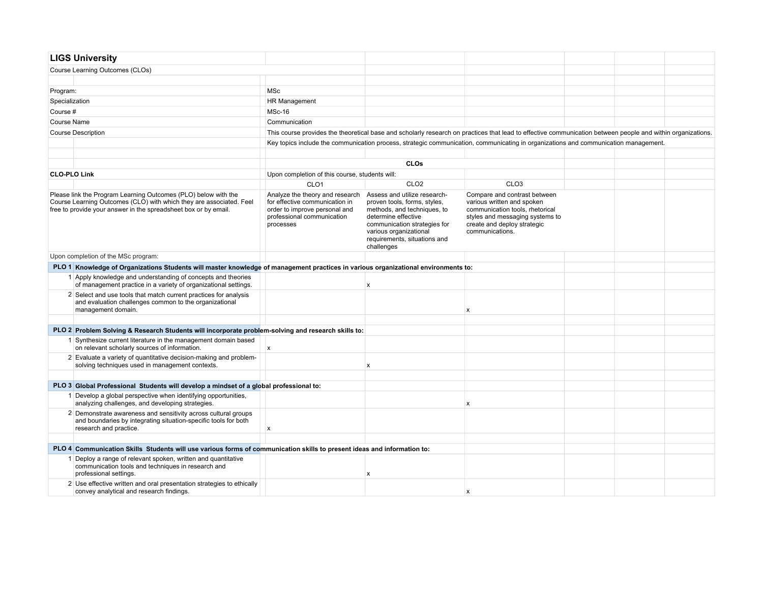|                     | <b>LIGS University</b>                                                                                                                                                                                   |                                                                                                                                               |                                                                                                                                                                                                                            |                                                                                                                                                                                    |  |  |
|---------------------|----------------------------------------------------------------------------------------------------------------------------------------------------------------------------------------------------------|-----------------------------------------------------------------------------------------------------------------------------------------------|----------------------------------------------------------------------------------------------------------------------------------------------------------------------------------------------------------------------------|------------------------------------------------------------------------------------------------------------------------------------------------------------------------------------|--|--|
|                     | Course Learning Outcomes (CLOs)                                                                                                                                                                          |                                                                                                                                               |                                                                                                                                                                                                                            |                                                                                                                                                                                    |  |  |
|                     |                                                                                                                                                                                                          |                                                                                                                                               |                                                                                                                                                                                                                            |                                                                                                                                                                                    |  |  |
| Program:            |                                                                                                                                                                                                          | MSc                                                                                                                                           |                                                                                                                                                                                                                            |                                                                                                                                                                                    |  |  |
| Specialization      |                                                                                                                                                                                                          | HR Management                                                                                                                                 |                                                                                                                                                                                                                            |                                                                                                                                                                                    |  |  |
| Course #            |                                                                                                                                                                                                          | MSc-16                                                                                                                                        |                                                                                                                                                                                                                            |                                                                                                                                                                                    |  |  |
| Course Name         |                                                                                                                                                                                                          | Communication                                                                                                                                 |                                                                                                                                                                                                                            |                                                                                                                                                                                    |  |  |
|                     | <b>Course Description</b>                                                                                                                                                                                |                                                                                                                                               |                                                                                                                                                                                                                            | This course provides the theoretical base and scholarly research on practices that lead to effective communication between people and within organizations.                        |  |  |
|                     |                                                                                                                                                                                                          |                                                                                                                                               |                                                                                                                                                                                                                            | Key topics include the communication process, strategic communication, communicating in organizations and communication management.                                                |  |  |
|                     |                                                                                                                                                                                                          |                                                                                                                                               |                                                                                                                                                                                                                            |                                                                                                                                                                                    |  |  |
|                     |                                                                                                                                                                                                          |                                                                                                                                               | CLOs                                                                                                                                                                                                                       |                                                                                                                                                                                    |  |  |
| <b>CLO-PLO Link</b> |                                                                                                                                                                                                          | Upon completion of this course, students will:                                                                                                |                                                                                                                                                                                                                            |                                                                                                                                                                                    |  |  |
|                     |                                                                                                                                                                                                          | CLO <sub>1</sub>                                                                                                                              | CLO <sub>2</sub>                                                                                                                                                                                                           | CLO <sub>3</sub>                                                                                                                                                                   |  |  |
|                     | Please link the Program Learning Outcomes (PLO) below with the<br>Course Learning Outcomes (CLO) with which they are associated. Feel<br>free to provide your answer in the spreadsheet box or by email. | Analyze the theory and research<br>for effective communication in<br>order to improve personal and<br>professional communication<br>processes | Assess and utilize research-<br>proven tools, forms, styles,<br>methods, and techniques, to<br>determine effective<br>communication strategies for<br>various organizational<br>requirements, situations and<br>challenges | Compare and contrast between<br>various written and spoken<br>communication tools, rhetorical<br>styles and messaging systems to<br>create and deploy strategic<br>communications. |  |  |
|                     | Upon completion of the MSc program:                                                                                                                                                                      |                                                                                                                                               |                                                                                                                                                                                                                            |                                                                                                                                                                                    |  |  |
|                     | PLO 1 Knowledge of Organizations Students will master knowledge of management practices in various organizational environments to:                                                                       |                                                                                                                                               |                                                                                                                                                                                                                            |                                                                                                                                                                                    |  |  |
|                     | 1 Apply knowledge and understanding of concepts and theories<br>of management practice in a variety of organizational settings.                                                                          |                                                                                                                                               | x                                                                                                                                                                                                                          |                                                                                                                                                                                    |  |  |
|                     | 2 Select and use tools that match current practices for analysis<br>and evaluation challenges common to the organizational<br>management domain.                                                         |                                                                                                                                               |                                                                                                                                                                                                                            | $\boldsymbol{\mathsf{x}}$                                                                                                                                                          |  |  |
|                     |                                                                                                                                                                                                          |                                                                                                                                               |                                                                                                                                                                                                                            |                                                                                                                                                                                    |  |  |
|                     | PLO 2 Problem Solving & Research Students will incorporate problem-solving and research skills to:                                                                                                       |                                                                                                                                               |                                                                                                                                                                                                                            |                                                                                                                                                                                    |  |  |
|                     | 1 Synthesize current literature in the management domain based<br>on relevant scholarly sources of information.                                                                                          | $\mathsf{x}$                                                                                                                                  |                                                                                                                                                                                                                            |                                                                                                                                                                                    |  |  |
|                     | 2 Evaluate a variety of quantitative decision-making and problem-<br>solving techniques used in management contexts.                                                                                     |                                                                                                                                               | x                                                                                                                                                                                                                          |                                                                                                                                                                                    |  |  |
|                     |                                                                                                                                                                                                          |                                                                                                                                               |                                                                                                                                                                                                                            |                                                                                                                                                                                    |  |  |
|                     | PLO 3 Global Professional Students will develop a mindset of a global professional to:                                                                                                                   |                                                                                                                                               |                                                                                                                                                                                                                            |                                                                                                                                                                                    |  |  |
|                     | 1 Develop a global perspective when identifying opportunities,<br>analyzing challenges, and developing strategies.                                                                                       |                                                                                                                                               |                                                                                                                                                                                                                            | $\boldsymbol{\mathsf{x}}$                                                                                                                                                          |  |  |
|                     | 2 Demonstrate awareness and sensitivity across cultural groups<br>and boundaries by integrating situation-specific tools for both<br>research and practice.                                              | X                                                                                                                                             |                                                                                                                                                                                                                            |                                                                                                                                                                                    |  |  |
|                     |                                                                                                                                                                                                          |                                                                                                                                               |                                                                                                                                                                                                                            |                                                                                                                                                                                    |  |  |
|                     | PLO 4 Communication Skills Students will use various forms of communication skills to present ideas and information to:                                                                                  |                                                                                                                                               |                                                                                                                                                                                                                            |                                                                                                                                                                                    |  |  |
|                     | Deploy a range of relevant spoken, written and quantitative<br>communication tools and techniques in research and<br>professional settings.                                                              |                                                                                                                                               | x                                                                                                                                                                                                                          |                                                                                                                                                                                    |  |  |
|                     | 2 Use effective written and oral presentation strategies to ethically<br>convey analytical and research findings.                                                                                        |                                                                                                                                               |                                                                                                                                                                                                                            | $\mathbf x$                                                                                                                                                                        |  |  |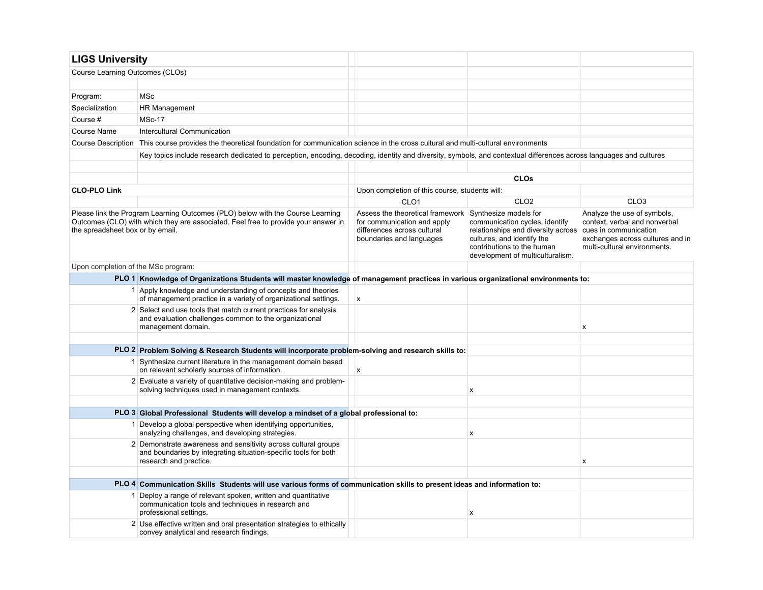| <b>LIGS University</b>              |                                                                                                                                                                       |                                                                                                                                                  |                                                                                                                                                                                            |                                                                                                                                  |
|-------------------------------------|-----------------------------------------------------------------------------------------------------------------------------------------------------------------------|--------------------------------------------------------------------------------------------------------------------------------------------------|--------------------------------------------------------------------------------------------------------------------------------------------------------------------------------------------|----------------------------------------------------------------------------------------------------------------------------------|
| Course Learning Outcomes (CLOs)     |                                                                                                                                                                       |                                                                                                                                                  |                                                                                                                                                                                            |                                                                                                                                  |
|                                     |                                                                                                                                                                       |                                                                                                                                                  |                                                                                                                                                                                            |                                                                                                                                  |
| Program:                            | <b>MSc</b>                                                                                                                                                            |                                                                                                                                                  |                                                                                                                                                                                            |                                                                                                                                  |
| Specialization                      | HR Management                                                                                                                                                         |                                                                                                                                                  |                                                                                                                                                                                            |                                                                                                                                  |
| Course #                            | <b>MSc-17</b>                                                                                                                                                         |                                                                                                                                                  |                                                                                                                                                                                            |                                                                                                                                  |
| Course Name                         | Intercultural Communication                                                                                                                                           |                                                                                                                                                  |                                                                                                                                                                                            |                                                                                                                                  |
| Course Description                  | This course provides the theoretical foundation for communication science in the cross cultural and multi-cultural environments                                       |                                                                                                                                                  |                                                                                                                                                                                            |                                                                                                                                  |
|                                     | Key topics include research dedicated to perception, encoding, decoding, identity and diversity, symbols, and contextual differences across languages and cultures    |                                                                                                                                                  |                                                                                                                                                                                            |                                                                                                                                  |
|                                     |                                                                                                                                                                       |                                                                                                                                                  |                                                                                                                                                                                            |                                                                                                                                  |
|                                     |                                                                                                                                                                       |                                                                                                                                                  | <b>CLOs</b>                                                                                                                                                                                |                                                                                                                                  |
| <b>CLO-PLO Link</b>                 |                                                                                                                                                                       | Upon completion of this course, students will:                                                                                                   |                                                                                                                                                                                            |                                                                                                                                  |
|                                     |                                                                                                                                                                       | CLO <sub>1</sub>                                                                                                                                 | CLO <sub>2</sub>                                                                                                                                                                           | CLO <sub>3</sub>                                                                                                                 |
| the spreadsheet box or by email.    | Please link the Program Learning Outcomes (PLO) below with the Course Learning<br>Outcomes (CLO) with which they are associated. Feel free to provide your answer in  | Assess the theoretical framework Synthesize models for<br>for communication and apply<br>differences across cultural<br>boundaries and languages | communication cycles, identify<br>relationships and diversity across cues in communication<br>cultures, and identify the<br>contributions to the human<br>development of multiculturalism. | Analyze the use of symbols,<br>context, verbal and nonverbal<br>exchanges across cultures and in<br>multi-cultural environments. |
| Upon completion of the MSc program: |                                                                                                                                                                       |                                                                                                                                                  |                                                                                                                                                                                            |                                                                                                                                  |
|                                     | PLO 1 Knowledge of Organizations Students will master knowledge of management practices in various organizational environments to:                                    |                                                                                                                                                  |                                                                                                                                                                                            |                                                                                                                                  |
|                                     | 1 Apply knowledge and understanding of concepts and theories<br>of management practice in a variety of organizational settings.                                       | x                                                                                                                                                |                                                                                                                                                                                            |                                                                                                                                  |
|                                     | 2 Select and use tools that match current practices for analysis<br>and evaluation challenges common to the organizational<br>management domain.                      |                                                                                                                                                  |                                                                                                                                                                                            | x                                                                                                                                |
|                                     |                                                                                                                                                                       |                                                                                                                                                  |                                                                                                                                                                                            |                                                                                                                                  |
|                                     | PLO 2 Problem Solving & Research Students will incorporate problem-solving and research skills to:<br>1 Synthesize current literature in the management domain based  | X                                                                                                                                                |                                                                                                                                                                                            |                                                                                                                                  |
|                                     | on relevant scholarly sources of information.<br>2 Evaluate a variety of quantitative decision-making and problem-<br>solving techniques used in management contexts. |                                                                                                                                                  | x                                                                                                                                                                                          |                                                                                                                                  |
|                                     |                                                                                                                                                                       |                                                                                                                                                  |                                                                                                                                                                                            |                                                                                                                                  |
|                                     | PLO 3 Global Professional Students will develop a mindset of a global professional to:                                                                                |                                                                                                                                                  |                                                                                                                                                                                            |                                                                                                                                  |
|                                     | 1 Develop a global perspective when identifying opportunities,<br>analyzing challenges, and developing strategies.                                                    |                                                                                                                                                  | X                                                                                                                                                                                          |                                                                                                                                  |
|                                     | 2 Demonstrate awareness and sensitivity across cultural groups<br>and boundaries by integrating situation-specific tools for both<br>research and practice.           |                                                                                                                                                  |                                                                                                                                                                                            | X                                                                                                                                |
|                                     |                                                                                                                                                                       |                                                                                                                                                  |                                                                                                                                                                                            |                                                                                                                                  |
|                                     | PLO 4 Communication Skills Students will use various forms of communication skills to present ideas and information to:                                               |                                                                                                                                                  |                                                                                                                                                                                            |                                                                                                                                  |
|                                     | 1 Deploy a range of relevant spoken, written and quantitative<br>communication tools and techniques in research and<br>professional settings.                         |                                                                                                                                                  | x                                                                                                                                                                                          |                                                                                                                                  |
|                                     | 2 Use effective written and oral presentation strategies to ethically<br>convey analytical and research findings.                                                     |                                                                                                                                                  |                                                                                                                                                                                            |                                                                                                                                  |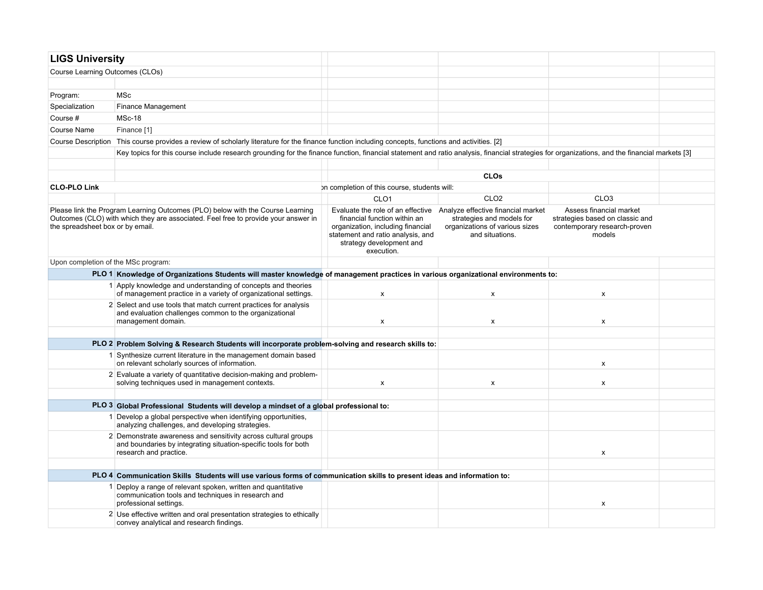| <b>LIGS University</b>              |                                                                                                                                                                                               |                                                                                                                                                  |                                                                                                                                                        |                                                                                                      |  |  |  |  |
|-------------------------------------|-----------------------------------------------------------------------------------------------------------------------------------------------------------------------------------------------|--------------------------------------------------------------------------------------------------------------------------------------------------|--------------------------------------------------------------------------------------------------------------------------------------------------------|------------------------------------------------------------------------------------------------------|--|--|--|--|
| Course Learning Outcomes (CLOs)     |                                                                                                                                                                                               |                                                                                                                                                  |                                                                                                                                                        |                                                                                                      |  |  |  |  |
|                                     |                                                                                                                                                                                               |                                                                                                                                                  |                                                                                                                                                        |                                                                                                      |  |  |  |  |
| Program:                            | MSc                                                                                                                                                                                           |                                                                                                                                                  |                                                                                                                                                        |                                                                                                      |  |  |  |  |
| Specialization                      | Finance Management                                                                                                                                                                            |                                                                                                                                                  |                                                                                                                                                        |                                                                                                      |  |  |  |  |
| Course #                            | MSc-18                                                                                                                                                                                        |                                                                                                                                                  |                                                                                                                                                        |                                                                                                      |  |  |  |  |
| Course Name                         | Finance [1]                                                                                                                                                                                   |                                                                                                                                                  |                                                                                                                                                        |                                                                                                      |  |  |  |  |
|                                     | Course Description This course provides a review of scholarly literature for the finance function including concepts, functions and activities. [2]                                           |                                                                                                                                                  |                                                                                                                                                        |                                                                                                      |  |  |  |  |
|                                     | Key topics for this course include research grounding for the finance function, financial statement and ratio analysis, financial strategies for organizations, and the financial markets [3] |                                                                                                                                                  |                                                                                                                                                        |                                                                                                      |  |  |  |  |
|                                     |                                                                                                                                                                                               |                                                                                                                                                  |                                                                                                                                                        |                                                                                                      |  |  |  |  |
|                                     |                                                                                                                                                                                               |                                                                                                                                                  | CLOs                                                                                                                                                   |                                                                                                      |  |  |  |  |
| <b>CLO-PLO Link</b>                 |                                                                                                                                                                                               | on completion of this course, students will:                                                                                                     |                                                                                                                                                        |                                                                                                      |  |  |  |  |
|                                     |                                                                                                                                                                                               | CLO <sub>1</sub>                                                                                                                                 | CLO <sub>2</sub>                                                                                                                                       | CLO <sub>3</sub>                                                                                     |  |  |  |  |
| the spreadsheet box or by email.    | Please link the Program Learning Outcomes (PLO) below with the Course Learning<br>Outcomes (CLO) with which they are associated. Feel free to provide your answer in                          | financial function within an<br>organization, including financial<br>statement and ratio analysis, and<br>strategy development and<br>execution. | Evaluate the role of an effective Analyze effective financial market<br>strategies and models for<br>organizations of various sizes<br>and situations. | Assess financial market<br>strategies based on classic and<br>contemporary research-proven<br>models |  |  |  |  |
| Upon completion of the MSc program: |                                                                                                                                                                                               |                                                                                                                                                  |                                                                                                                                                        |                                                                                                      |  |  |  |  |
|                                     | PLO 1 Knowledge of Organizations Students will master knowledge of management practices in various organizational environments to:                                                            |                                                                                                                                                  |                                                                                                                                                        |                                                                                                      |  |  |  |  |
|                                     | 1 Apply knowledge and understanding of concepts and theories<br>of management practice in a variety of organizational settings.                                                               | X                                                                                                                                                | x                                                                                                                                                      | X                                                                                                    |  |  |  |  |
|                                     | 2 Select and use tools that match current practices for analysis<br>and evaluation challenges common to the organizational<br>management domain.                                              | x                                                                                                                                                | x                                                                                                                                                      | X                                                                                                    |  |  |  |  |
|                                     |                                                                                                                                                                                               |                                                                                                                                                  |                                                                                                                                                        |                                                                                                      |  |  |  |  |
|                                     | PLO 2 Problem Solving & Research Students will incorporate problem-solving and research skills to:<br>1 Synthesize current literature in the management domain based                          |                                                                                                                                                  |                                                                                                                                                        |                                                                                                      |  |  |  |  |
|                                     | on relevant scholarly sources of information.                                                                                                                                                 |                                                                                                                                                  |                                                                                                                                                        | X                                                                                                    |  |  |  |  |
|                                     | 2 Evaluate a variety of quantitative decision-making and problem-<br>solving techniques used in management contexts.                                                                          | $\pmb{\times}$                                                                                                                                   | X                                                                                                                                                      | X                                                                                                    |  |  |  |  |
|                                     |                                                                                                                                                                                               |                                                                                                                                                  |                                                                                                                                                        |                                                                                                      |  |  |  |  |
|                                     | PLO 3 Global Professional Students will develop a mindset of a global professional to:                                                                                                        |                                                                                                                                                  |                                                                                                                                                        |                                                                                                      |  |  |  |  |
|                                     | 1 Develop a global perspective when identifying opportunities.<br>analyzing challenges, and developing strategies.                                                                            |                                                                                                                                                  |                                                                                                                                                        |                                                                                                      |  |  |  |  |
|                                     | 2 Demonstrate awareness and sensitivity across cultural groups<br>and boundaries by integrating situation-specific tools for both<br>research and practice.                                   |                                                                                                                                                  |                                                                                                                                                        | X                                                                                                    |  |  |  |  |
|                                     |                                                                                                                                                                                               |                                                                                                                                                  |                                                                                                                                                        |                                                                                                      |  |  |  |  |
|                                     | PLO 4 Communication Skills Students will use various forms of communication skills to present ideas and information to:                                                                       |                                                                                                                                                  |                                                                                                                                                        |                                                                                                      |  |  |  |  |
|                                     | Deploy a range of relevant spoken, written and quantitative<br>communication tools and techniques in research and<br>professional settings.                                                   |                                                                                                                                                  |                                                                                                                                                        | x                                                                                                    |  |  |  |  |
|                                     | 2 Use effective written and oral presentation strategies to ethically<br>convey analytical and research findings.                                                                             |                                                                                                                                                  |                                                                                                                                                        |                                                                                                      |  |  |  |  |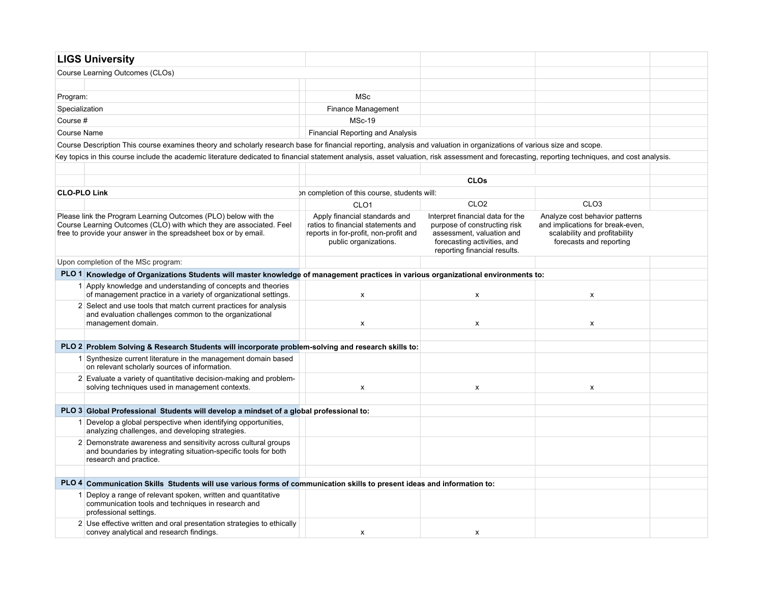| <b>LIGS University</b>                                                                                                                                                                                   |                                                                                                                                       |                                                                                                                                                              |                                                                                                                                |  |
|----------------------------------------------------------------------------------------------------------------------------------------------------------------------------------------------------------|---------------------------------------------------------------------------------------------------------------------------------------|--------------------------------------------------------------------------------------------------------------------------------------------------------------|--------------------------------------------------------------------------------------------------------------------------------|--|
| Course Learning Outcomes (CLOs)                                                                                                                                                                          |                                                                                                                                       |                                                                                                                                                              |                                                                                                                                |  |
|                                                                                                                                                                                                          |                                                                                                                                       |                                                                                                                                                              |                                                                                                                                |  |
| Program:                                                                                                                                                                                                 | <b>MSc</b>                                                                                                                            |                                                                                                                                                              |                                                                                                                                |  |
| Specialization                                                                                                                                                                                           | Finance Management                                                                                                                    |                                                                                                                                                              |                                                                                                                                |  |
| Course #                                                                                                                                                                                                 | <b>MSc-19</b>                                                                                                                         |                                                                                                                                                              |                                                                                                                                |  |
| <b>Course Name</b>                                                                                                                                                                                       | <b>Financial Reporting and Analysis</b>                                                                                               |                                                                                                                                                              |                                                                                                                                |  |
| Course Description This course examines theory and scholarly research base for financial reporting, analysis and valuation in organizations of various size and scope.                                   |                                                                                                                                       |                                                                                                                                                              |                                                                                                                                |  |
| Key topics in this course include the academic literature dedicated to financial statement analysis, asset valuation, risk assessment and forecasting, reporting techniques, and cost analysis.          |                                                                                                                                       |                                                                                                                                                              |                                                                                                                                |  |
|                                                                                                                                                                                                          |                                                                                                                                       |                                                                                                                                                              |                                                                                                                                |  |
|                                                                                                                                                                                                          |                                                                                                                                       | <b>CLOs</b>                                                                                                                                                  |                                                                                                                                |  |
| <b>CLO-PLO Link</b>                                                                                                                                                                                      | on completion of this course, students will:                                                                                          |                                                                                                                                                              |                                                                                                                                |  |
|                                                                                                                                                                                                          | CLO <sub>1</sub>                                                                                                                      | CLO <sub>2</sub>                                                                                                                                             | CLO <sub>3</sub>                                                                                                               |  |
| Please link the Program Learning Outcomes (PLO) below with the<br>Course Learning Outcomes (CLO) with which they are associated. Feel<br>free to provide your answer in the spreadsheet box or by email. | Apply financial standards and<br>ratios to financial statements and<br>reports in for-profit, non-profit and<br>public organizations. | Interpret financial data for the<br>purpose of constructing risk<br>assessment, valuation and<br>forecasting activities, and<br>reporting financial results. | Analyze cost behavior patterns<br>and implications for break-even,<br>scalability and profitability<br>forecasts and reporting |  |
| Upon completion of the MSc program:                                                                                                                                                                      |                                                                                                                                       |                                                                                                                                                              |                                                                                                                                |  |
| PLO 1 Knowledge of Organizations Students will master knowledge of management practices in various organizational environments to:                                                                       |                                                                                                                                       |                                                                                                                                                              |                                                                                                                                |  |
| 1 Apply knowledge and understanding of concepts and theories<br>of management practice in a variety of organizational settings.                                                                          | $\mathsf{x}$                                                                                                                          | X                                                                                                                                                            | X                                                                                                                              |  |
| 2 Select and use tools that match current practices for analysis<br>and evaluation challenges common to the organizational<br>management domain.                                                         | X                                                                                                                                     | X                                                                                                                                                            | x                                                                                                                              |  |
|                                                                                                                                                                                                          |                                                                                                                                       |                                                                                                                                                              |                                                                                                                                |  |
| PLO 2 Problem Solving & Research Students will incorporate problem-solving and research skills to:                                                                                                       |                                                                                                                                       |                                                                                                                                                              |                                                                                                                                |  |
| 1 Synthesize current literature in the management domain based<br>on relevant scholarly sources of information.                                                                                          |                                                                                                                                       |                                                                                                                                                              |                                                                                                                                |  |
| 2 Evaluate a variety of quantitative decision-making and problem-<br>solving techniques used in management contexts.                                                                                     | x                                                                                                                                     | X                                                                                                                                                            | X                                                                                                                              |  |
|                                                                                                                                                                                                          |                                                                                                                                       |                                                                                                                                                              |                                                                                                                                |  |
| PLO 3 Global Professional Students will develop a mindset of a global professional to:                                                                                                                   |                                                                                                                                       |                                                                                                                                                              |                                                                                                                                |  |
| 1 Develop a global perspective when identifying opportunities.<br>analyzing challenges, and developing strategies.                                                                                       |                                                                                                                                       |                                                                                                                                                              |                                                                                                                                |  |
| 2 Demonstrate awareness and sensitivity across cultural groups<br>and boundaries by integrating situation-specific tools for both<br>research and practice.                                              |                                                                                                                                       |                                                                                                                                                              |                                                                                                                                |  |
|                                                                                                                                                                                                          |                                                                                                                                       |                                                                                                                                                              |                                                                                                                                |  |
| PLO 4 Communication Skills Students will use various forms of communication skills to present ideas and information to:                                                                                  |                                                                                                                                       |                                                                                                                                                              |                                                                                                                                |  |
| 1 Deploy a range of relevant spoken, written and quantitative<br>communication tools and techniques in research and<br>professional settings.                                                            |                                                                                                                                       |                                                                                                                                                              |                                                                                                                                |  |
| 2 Use effective written and oral presentation strategies to ethically<br>convey analytical and research findings.                                                                                        | $\mathsf{x}$                                                                                                                          | x                                                                                                                                                            |                                                                                                                                |  |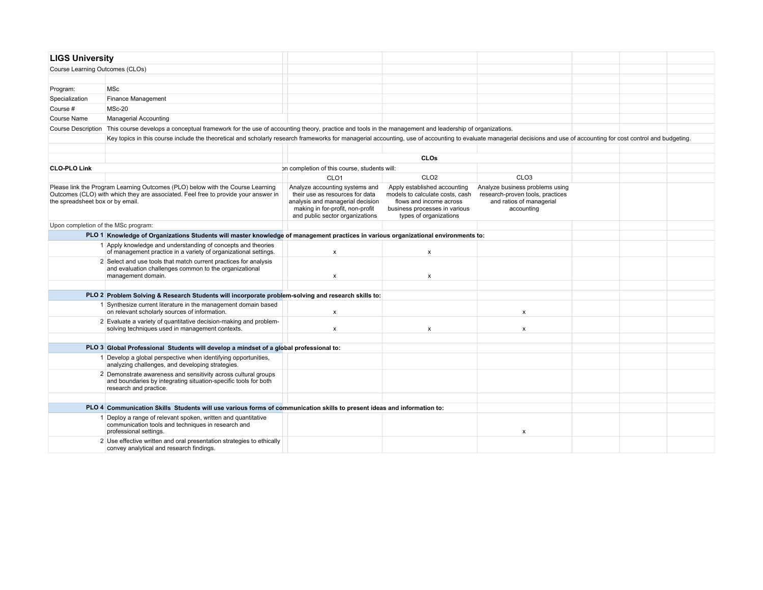| <b>LIGS University</b>              |                                                                                                                                                                                                                         |                                                                                                                                                                              |                                                                                                                                                       |                                                                                                               |  |  |
|-------------------------------------|-------------------------------------------------------------------------------------------------------------------------------------------------------------------------------------------------------------------------|------------------------------------------------------------------------------------------------------------------------------------------------------------------------------|-------------------------------------------------------------------------------------------------------------------------------------------------------|---------------------------------------------------------------------------------------------------------------|--|--|
| Course Learning Outcomes (CLOs)     |                                                                                                                                                                                                                         |                                                                                                                                                                              |                                                                                                                                                       |                                                                                                               |  |  |
|                                     |                                                                                                                                                                                                                         |                                                                                                                                                                              |                                                                                                                                                       |                                                                                                               |  |  |
| Program:                            | <b>MSc</b>                                                                                                                                                                                                              |                                                                                                                                                                              |                                                                                                                                                       |                                                                                                               |  |  |
| Specialization                      | Finance Management                                                                                                                                                                                                      |                                                                                                                                                                              |                                                                                                                                                       |                                                                                                               |  |  |
| Course #                            | <b>MSc-20</b>                                                                                                                                                                                                           |                                                                                                                                                                              |                                                                                                                                                       |                                                                                                               |  |  |
| <b>Course Name</b>                  | <b>Managerial Accounting</b>                                                                                                                                                                                            |                                                                                                                                                                              |                                                                                                                                                       |                                                                                                               |  |  |
| <b>Course Description</b>           | This course develops a conceptual framework for the use of accounting theory, practice and tools in the management and leadership of organizations.                                                                     |                                                                                                                                                                              |                                                                                                                                                       |                                                                                                               |  |  |
|                                     | Key topics in this course include the theoretical and scholarly research frameworks for managerial accounting, use of accounting to evaluate managerial decisions and use of accounting for cost control and budgeting. |                                                                                                                                                                              |                                                                                                                                                       |                                                                                                               |  |  |
|                                     |                                                                                                                                                                                                                         |                                                                                                                                                                              |                                                                                                                                                       |                                                                                                               |  |  |
|                                     |                                                                                                                                                                                                                         |                                                                                                                                                                              | <b>CLOs</b>                                                                                                                                           |                                                                                                               |  |  |
| <b>CLO-PLO Link</b>                 |                                                                                                                                                                                                                         | on completion of this course, students will:                                                                                                                                 |                                                                                                                                                       |                                                                                                               |  |  |
|                                     |                                                                                                                                                                                                                         | CLO <sub>1</sub>                                                                                                                                                             | CLO <sub>2</sub>                                                                                                                                      | CLO <sub>3</sub>                                                                                              |  |  |
| the spreadsheet box or by email.    | Please link the Program Learning Outcomes (PLO) below with the Course Learning<br>Outcomes (CLO) with which they are associated. Feel free to provide your answer in                                                    | Analyze accounting systems and<br>their use as resources for data<br>analysis and managerial decision<br>making in for-profit, non-profit<br>and public sector organizations | Apply established accounting<br>models to calculate costs, cash<br>flows and income across<br>business processes in various<br>types of organizations | Analyze business problems using<br>research-proven tools, practices<br>and ratios of managerial<br>accounting |  |  |
| Upon completion of the MSc program: |                                                                                                                                                                                                                         |                                                                                                                                                                              |                                                                                                                                                       |                                                                                                               |  |  |
|                                     | PLO 1 Knowledge of Organizations Students will master knowledge of management practices in various organizational environments to:                                                                                      |                                                                                                                                                                              |                                                                                                                                                       |                                                                                                               |  |  |
|                                     | 1 Apply knowledge and understanding of concepts and theories<br>of management practice in a variety of organizational settings.                                                                                         | $\boldsymbol{\mathsf{x}}$                                                                                                                                                    | x                                                                                                                                                     |                                                                                                               |  |  |
|                                     | 2 Select and use tools that match current practices for analysis<br>and evaluation challenges common to the organizational<br>management domain.                                                                        | $\pmb{\chi}$                                                                                                                                                                 | x                                                                                                                                                     |                                                                                                               |  |  |
|                                     |                                                                                                                                                                                                                         |                                                                                                                                                                              |                                                                                                                                                       |                                                                                                               |  |  |
|                                     | PLO 2 Problem Solving & Research Students will incorporate problem-solving and research skills to:                                                                                                                      |                                                                                                                                                                              |                                                                                                                                                       |                                                                                                               |  |  |
|                                     | 1 Synthesize current literature in the management domain based<br>on relevant scholarly sources of information.                                                                                                         | $\boldsymbol{\mathsf{x}}$                                                                                                                                                    |                                                                                                                                                       | $\boldsymbol{\mathsf{x}}$                                                                                     |  |  |
|                                     | 2 Evaluate a variety of quantitative decision-making and problem-<br>solving techniques used in management contexts.                                                                                                    | $\boldsymbol{\mathsf{x}}$                                                                                                                                                    | x                                                                                                                                                     | $\mathsf{x}$                                                                                                  |  |  |
|                                     |                                                                                                                                                                                                                         |                                                                                                                                                                              |                                                                                                                                                       |                                                                                                               |  |  |
|                                     | PLO 3 Global Professional Students will develop a mindset of a global professional to:                                                                                                                                  |                                                                                                                                                                              |                                                                                                                                                       |                                                                                                               |  |  |
|                                     | 1 Develop a global perspective when identifying opportunities,<br>analyzing challenges, and developing strategies.                                                                                                      |                                                                                                                                                                              |                                                                                                                                                       |                                                                                                               |  |  |
|                                     | 2 Demonstrate awareness and sensitivity across cultural groups<br>and boundaries by integrating situation-specific tools for both<br>research and practice.                                                             |                                                                                                                                                                              |                                                                                                                                                       |                                                                                                               |  |  |
|                                     |                                                                                                                                                                                                                         |                                                                                                                                                                              |                                                                                                                                                       |                                                                                                               |  |  |
|                                     | PLO 4 Communication Skills Students will use various forms of communication skills to present ideas and information to:                                                                                                 |                                                                                                                                                                              |                                                                                                                                                       |                                                                                                               |  |  |
|                                     | 1 Deploy a range of relevant spoken, written and quantitative<br>communication tools and techniques in research and<br>professional settings.                                                                           |                                                                                                                                                                              |                                                                                                                                                       | $\pmb{\chi}$                                                                                                  |  |  |
|                                     | 2 Use effective written and oral presentation strategies to ethically<br>convey analytical and research findings.                                                                                                       |                                                                                                                                                                              |                                                                                                                                                       |                                                                                                               |  |  |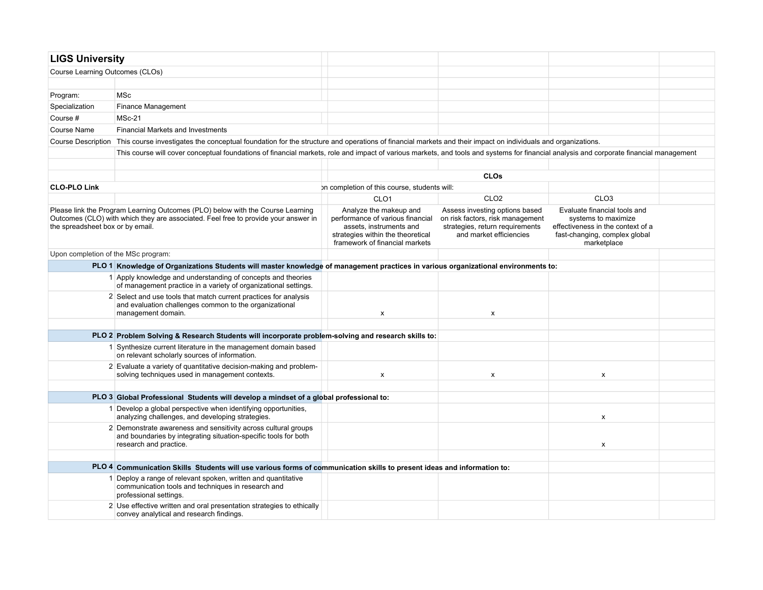| <b>LIGS University</b>              |                                                                                                                                                                                         |                                                                                                                                                              |                                                                                                                                  |                                                                                                                                          |  |
|-------------------------------------|-----------------------------------------------------------------------------------------------------------------------------------------------------------------------------------------|--------------------------------------------------------------------------------------------------------------------------------------------------------------|----------------------------------------------------------------------------------------------------------------------------------|------------------------------------------------------------------------------------------------------------------------------------------|--|
| Course Learning Outcomes (CLOs)     |                                                                                                                                                                                         |                                                                                                                                                              |                                                                                                                                  |                                                                                                                                          |  |
|                                     |                                                                                                                                                                                         |                                                                                                                                                              |                                                                                                                                  |                                                                                                                                          |  |
| Program:                            | <b>MSc</b>                                                                                                                                                                              |                                                                                                                                                              |                                                                                                                                  |                                                                                                                                          |  |
| Specialization                      | Finance Management                                                                                                                                                                      |                                                                                                                                                              |                                                                                                                                  |                                                                                                                                          |  |
| Course #                            | MSc-21                                                                                                                                                                                  |                                                                                                                                                              |                                                                                                                                  |                                                                                                                                          |  |
| Course Name                         | <b>Financial Markets and Investments</b>                                                                                                                                                |                                                                                                                                                              |                                                                                                                                  |                                                                                                                                          |  |
|                                     | Course Description This course investigates the conceptual foundation for the structure and operations of financial markets and their impact on individuals and organizations.          |                                                                                                                                                              |                                                                                                                                  |                                                                                                                                          |  |
|                                     | This course will cover conceptual foundations of financial markets, role and impact of various markets, and tools and systems for financial analysis and corporate financial management |                                                                                                                                                              |                                                                                                                                  |                                                                                                                                          |  |
|                                     |                                                                                                                                                                                         |                                                                                                                                                              |                                                                                                                                  |                                                                                                                                          |  |
|                                     |                                                                                                                                                                                         |                                                                                                                                                              | <b>CLOs</b>                                                                                                                      |                                                                                                                                          |  |
| <b>CLO-PLO Link</b>                 |                                                                                                                                                                                         | on completion of this course, students will:                                                                                                                 |                                                                                                                                  |                                                                                                                                          |  |
|                                     |                                                                                                                                                                                         | CLO <sub>1</sub>                                                                                                                                             | CLO <sub>2</sub>                                                                                                                 | CLO <sub>3</sub>                                                                                                                         |  |
| the spreadsheet box or by email.    | Please link the Program Learning Outcomes (PLO) below with the Course Learning<br>Outcomes (CLO) with which they are associated. Feel free to provide your answer in                    | Analyze the makeup and<br>performance of various financial<br>assets, instruments and<br>strategies within the theoretical<br>framework of financial markets | Assess investing options based<br>on risk factors, risk management<br>strategies, return requirements<br>and market efficiencies | Evaluate financial tools and<br>systems to maximize<br>effectiveness in the context of a<br>fast-changing, complex global<br>marketplace |  |
| Upon completion of the MSc program: |                                                                                                                                                                                         |                                                                                                                                                              |                                                                                                                                  |                                                                                                                                          |  |
|                                     | PLO 1 Knowledge of Organizations Students will master knowledge of management practices in various organizational environments to:                                                      |                                                                                                                                                              |                                                                                                                                  |                                                                                                                                          |  |
|                                     | 1 Apply knowledge and understanding of concepts and theories<br>of management practice in a variety of organizational settings.                                                         |                                                                                                                                                              |                                                                                                                                  |                                                                                                                                          |  |
|                                     | 2 Select and use tools that match current practices for analysis<br>and evaluation challenges common to the organizational<br>management domain.                                        | X                                                                                                                                                            | $\mathsf{x}$                                                                                                                     |                                                                                                                                          |  |
|                                     |                                                                                                                                                                                         |                                                                                                                                                              |                                                                                                                                  |                                                                                                                                          |  |
|                                     | PLO 2 Problem Solving & Research Students will incorporate problem-solving and research skills to:                                                                                      |                                                                                                                                                              |                                                                                                                                  |                                                                                                                                          |  |
|                                     | 1 Synthesize current literature in the management domain based<br>on relevant scholarly sources of information.                                                                         |                                                                                                                                                              |                                                                                                                                  |                                                                                                                                          |  |
|                                     | 2 Evaluate a variety of quantitative decision-making and problem-<br>solving techniques used in management contexts.                                                                    | $\pmb{\times}$                                                                                                                                               | $\mathsf{x}$                                                                                                                     | $\pmb{\mathsf{x}}$                                                                                                                       |  |
|                                     | PLO 3 Global Professional Students will develop a mindset of a global professional to:                                                                                                  |                                                                                                                                                              |                                                                                                                                  |                                                                                                                                          |  |
|                                     | 1 Develop a global perspective when identifying opportunities,                                                                                                                          |                                                                                                                                                              |                                                                                                                                  |                                                                                                                                          |  |
|                                     | analyzing challenges, and developing strategies.                                                                                                                                        |                                                                                                                                                              |                                                                                                                                  | x                                                                                                                                        |  |
|                                     | 2 Demonstrate awareness and sensitivity across cultural groups<br>and boundaries by integrating situation-specific tools for both<br>research and practice.                             |                                                                                                                                                              |                                                                                                                                  | х                                                                                                                                        |  |
|                                     |                                                                                                                                                                                         |                                                                                                                                                              |                                                                                                                                  |                                                                                                                                          |  |
|                                     | PLO 4 Communication Skills Students will use various forms of communication skills to present ideas and information to:                                                                 |                                                                                                                                                              |                                                                                                                                  |                                                                                                                                          |  |
|                                     | 1 Deploy a range of relevant spoken, written and quantitative<br>communication tools and techniques in research and<br>professional settings.                                           |                                                                                                                                                              |                                                                                                                                  |                                                                                                                                          |  |
|                                     | 2 Use effective written and oral presentation strategies to ethically<br>convey analytical and research findings.                                                                       |                                                                                                                                                              |                                                                                                                                  |                                                                                                                                          |  |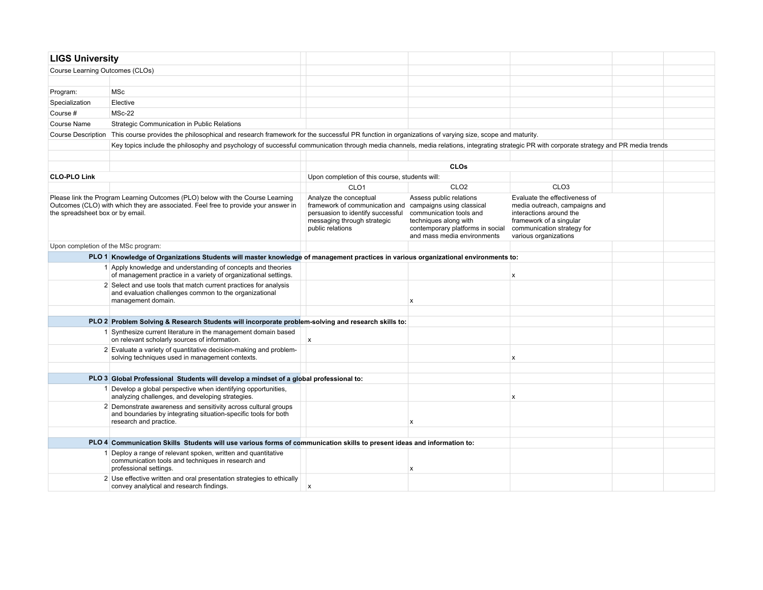| <b>LIGS University</b>              |                                                                                                                                                                                            |                                                                                                                                                  |                                                                                                                                                                             |                                                                                                                                                                             |  |
|-------------------------------------|--------------------------------------------------------------------------------------------------------------------------------------------------------------------------------------------|--------------------------------------------------------------------------------------------------------------------------------------------------|-----------------------------------------------------------------------------------------------------------------------------------------------------------------------------|-----------------------------------------------------------------------------------------------------------------------------------------------------------------------------|--|
| Course Learning Outcomes (CLOs)     |                                                                                                                                                                                            |                                                                                                                                                  |                                                                                                                                                                             |                                                                                                                                                                             |  |
|                                     |                                                                                                                                                                                            |                                                                                                                                                  |                                                                                                                                                                             |                                                                                                                                                                             |  |
| Program:                            | <b>MSc</b>                                                                                                                                                                                 |                                                                                                                                                  |                                                                                                                                                                             |                                                                                                                                                                             |  |
| Specialization                      | Elective                                                                                                                                                                                   |                                                                                                                                                  |                                                                                                                                                                             |                                                                                                                                                                             |  |
| Course #                            | $MSc-22$                                                                                                                                                                                   |                                                                                                                                                  |                                                                                                                                                                             |                                                                                                                                                                             |  |
| Course Name                         | Strategic Communication in Public Relations                                                                                                                                                |                                                                                                                                                  |                                                                                                                                                                             |                                                                                                                                                                             |  |
| <b>Course Description</b>           | This course provides the philosophical and research framework for the successful PR function in organizations of varying size, scope and maturity.                                         |                                                                                                                                                  |                                                                                                                                                                             |                                                                                                                                                                             |  |
|                                     | Key topics include the philosophy and psychology of successful communication through media channels, media relations, integrating strategic PR with corporate strategy and PR media trends |                                                                                                                                                  |                                                                                                                                                                             |                                                                                                                                                                             |  |
|                                     |                                                                                                                                                                                            |                                                                                                                                                  |                                                                                                                                                                             |                                                                                                                                                                             |  |
|                                     |                                                                                                                                                                                            |                                                                                                                                                  | <b>CLOs</b>                                                                                                                                                                 |                                                                                                                                                                             |  |
| <b>CLO-PLO Link</b>                 |                                                                                                                                                                                            | Upon completion of this course, students will:                                                                                                   |                                                                                                                                                                             |                                                                                                                                                                             |  |
|                                     |                                                                                                                                                                                            | CLO <sub>1</sub>                                                                                                                                 | CLO <sub>2</sub>                                                                                                                                                            | CLO <sub>3</sub>                                                                                                                                                            |  |
| the spreadsheet box or by email.    | Please link the Program Learning Outcomes (PLO) below with the Course Learning<br>Outcomes (CLO) with which they are associated. Feel free to provide your answer in                       | Analyze the conceptual<br>framework of communication and<br>persuasion to identify successful<br>messaging through strategic<br>public relations | Assess public relations<br>campaigns using classical<br>communication tools and<br>techniques along with<br>contemporary platforms in social<br>and mass media environments | Evaluate the effectiveness of<br>media outreach, campaigns and<br>interactions around the<br>framework of a singular<br>communication strategy for<br>various organizations |  |
| Upon completion of the MSc program: |                                                                                                                                                                                            |                                                                                                                                                  |                                                                                                                                                                             |                                                                                                                                                                             |  |
|                                     | PLO 1 Knowledge of Organizations Students will master knowledge of management practices in various organizational environments to:                                                         |                                                                                                                                                  |                                                                                                                                                                             |                                                                                                                                                                             |  |
|                                     | 1 Apply knowledge and understanding of concepts and theories<br>of management practice in a variety of organizational settings.                                                            |                                                                                                                                                  |                                                                                                                                                                             | X                                                                                                                                                                           |  |
|                                     | 2 Select and use tools that match current practices for analysis<br>and evaluation challenges common to the organizational<br>management domain.                                           |                                                                                                                                                  | $\boldsymbol{\mathsf{x}}$                                                                                                                                                   |                                                                                                                                                                             |  |
|                                     |                                                                                                                                                                                            |                                                                                                                                                  |                                                                                                                                                                             |                                                                                                                                                                             |  |
|                                     | PLO 2 Problem Solving & Research Students will incorporate problem-solving and research skills to:                                                                                         |                                                                                                                                                  |                                                                                                                                                                             |                                                                                                                                                                             |  |
|                                     | 1 Synthesize current literature in the management domain based<br>on relevant scholarly sources of information.                                                                            | $\pmb{\times}$                                                                                                                                   |                                                                                                                                                                             |                                                                                                                                                                             |  |
|                                     | 2 Evaluate a variety of quantitative decision-making and problem-<br>solving techniques used in management contexts.                                                                       |                                                                                                                                                  |                                                                                                                                                                             | X                                                                                                                                                                           |  |
|                                     |                                                                                                                                                                                            |                                                                                                                                                  |                                                                                                                                                                             |                                                                                                                                                                             |  |
|                                     | PLO 3 Global Professional Students will develop a mindset of a global professional to:                                                                                                     |                                                                                                                                                  |                                                                                                                                                                             |                                                                                                                                                                             |  |
|                                     | 1 Develop a global perspective when identifying opportunities,<br>analyzing challenges, and developing strategies.                                                                         |                                                                                                                                                  |                                                                                                                                                                             | X                                                                                                                                                                           |  |
|                                     | 2 Demonstrate awareness and sensitivity across cultural groups<br>and boundaries by integrating situation-specific tools for both<br>research and practice.                                |                                                                                                                                                  | $\boldsymbol{\mathsf{x}}$                                                                                                                                                   |                                                                                                                                                                             |  |
|                                     |                                                                                                                                                                                            |                                                                                                                                                  |                                                                                                                                                                             |                                                                                                                                                                             |  |
|                                     | PLO 4 Communication Skills Students will use various forms of communication skills to present ideas and information to:                                                                    |                                                                                                                                                  |                                                                                                                                                                             |                                                                                                                                                                             |  |
|                                     | Deploy a range of relevant spoken, written and quantitative<br>communication tools and techniques in research and<br>professional settings.                                                |                                                                                                                                                  | $\boldsymbol{\mathsf{x}}$                                                                                                                                                   |                                                                                                                                                                             |  |
|                                     | 2 Use effective written and oral presentation strategies to ethically<br>convey analytical and research findings.                                                                          | x                                                                                                                                                |                                                                                                                                                                             |                                                                                                                                                                             |  |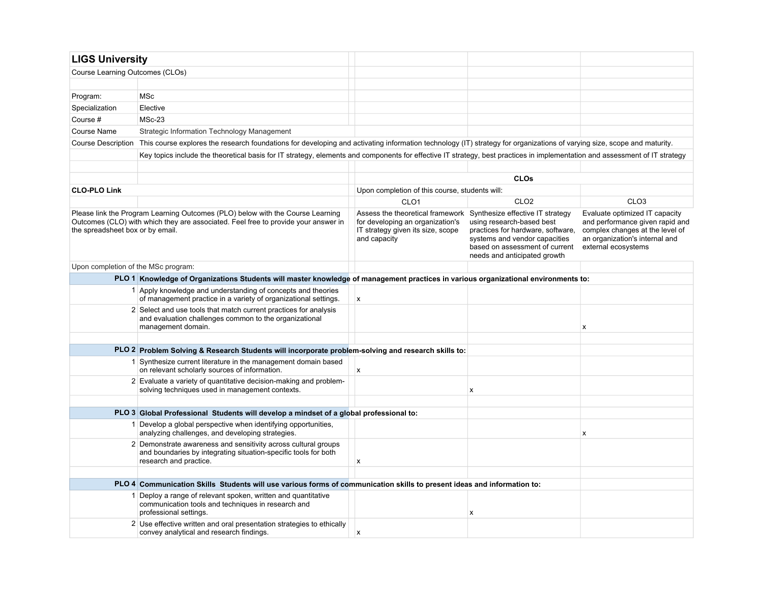| <b>LIGS University</b>              |                                                                                                                                                                             |                                                                                                                                                            |                                                                                                                                                                   |                                                                                                                                                               |
|-------------------------------------|-----------------------------------------------------------------------------------------------------------------------------------------------------------------------------|------------------------------------------------------------------------------------------------------------------------------------------------------------|-------------------------------------------------------------------------------------------------------------------------------------------------------------------|---------------------------------------------------------------------------------------------------------------------------------------------------------------|
| Course Learning Outcomes (CLOs)     |                                                                                                                                                                             |                                                                                                                                                            |                                                                                                                                                                   |                                                                                                                                                               |
|                                     |                                                                                                                                                                             |                                                                                                                                                            |                                                                                                                                                                   |                                                                                                                                                               |
| Program:                            | <b>MSc</b>                                                                                                                                                                  |                                                                                                                                                            |                                                                                                                                                                   |                                                                                                                                                               |
| Specialization                      | Elective                                                                                                                                                                    |                                                                                                                                                            |                                                                                                                                                                   |                                                                                                                                                               |
| Course #                            | $MSc-23$                                                                                                                                                                    |                                                                                                                                                            |                                                                                                                                                                   |                                                                                                                                                               |
| Course Name                         | Strategic Information Technology Management                                                                                                                                 |                                                                                                                                                            |                                                                                                                                                                   |                                                                                                                                                               |
| Course Description                  | This course explores the research foundations for developing and activating information technology (IT) strategy for organizations of varying size, scope and maturity.     |                                                                                                                                                            |                                                                                                                                                                   |                                                                                                                                                               |
|                                     | Key topics include the theoretical basis for IT strategy, elements and components for effective IT strategy, best practices in implementation and assessment of IT strategy |                                                                                                                                                            |                                                                                                                                                                   |                                                                                                                                                               |
|                                     |                                                                                                                                                                             |                                                                                                                                                            |                                                                                                                                                                   |                                                                                                                                                               |
|                                     |                                                                                                                                                                             |                                                                                                                                                            | <b>CLOs</b>                                                                                                                                                       |                                                                                                                                                               |
| <b>CLO-PLO Link</b>                 |                                                                                                                                                                             | Upon completion of this course, students will:                                                                                                             |                                                                                                                                                                   |                                                                                                                                                               |
|                                     |                                                                                                                                                                             | CLO <sub>1</sub>                                                                                                                                           | CLO <sub>2</sub>                                                                                                                                                  | CLO <sub>3</sub>                                                                                                                                              |
| the spreadsheet box or by email.    | Please link the Program Learning Outcomes (PLO) below with the Course Learning<br>Outcomes (CLO) with which they are associated. Feel free to provide your answer in        | Assess the theoretical framework Synthesize effective IT strategy<br>for developing an organization's<br>IT strategy given its size, scope<br>and capacity | using research-based best<br>practices for hardware, software,<br>systems and vendor capacities<br>based on assessment of current<br>needs and anticipated growth | Evaluate optimized IT capacity<br>and performance given rapid and<br>complex changes at the level of<br>an organization's internal and<br>external ecosystems |
| Upon completion of the MSc program: |                                                                                                                                                                             |                                                                                                                                                            |                                                                                                                                                                   |                                                                                                                                                               |
|                                     | PLO 1 Knowledge of Organizations Students will master knowledge of management practices in various organizational environments to:                                          |                                                                                                                                                            |                                                                                                                                                                   |                                                                                                                                                               |
|                                     | 1 Apply knowledge and understanding of concepts and theories<br>of management practice in a variety of organizational settings.                                             | $\boldsymbol{x}$                                                                                                                                           |                                                                                                                                                                   |                                                                                                                                                               |
|                                     | 2 Select and use tools that match current practices for analysis<br>and evaluation challenges common to the organizational<br>management domain.                            |                                                                                                                                                            |                                                                                                                                                                   | x                                                                                                                                                             |
|                                     |                                                                                                                                                                             |                                                                                                                                                            |                                                                                                                                                                   |                                                                                                                                                               |
|                                     | PLO 2 Problem Solving & Research Students will incorporate problem-solving and research skills to:<br>1 Synthesize current literature in the management domain based        |                                                                                                                                                            |                                                                                                                                                                   |                                                                                                                                                               |
|                                     | on relevant scholarly sources of information.                                                                                                                               | $\mathsf{x}$                                                                                                                                               |                                                                                                                                                                   |                                                                                                                                                               |
|                                     | 2 Evaluate a variety of quantitative decision-making and problem-<br>solving techniques used in management contexts.                                                        |                                                                                                                                                            | X                                                                                                                                                                 |                                                                                                                                                               |
|                                     |                                                                                                                                                                             |                                                                                                                                                            |                                                                                                                                                                   |                                                                                                                                                               |
|                                     | PLO 3 Global Professional Students will develop a mindset of a global professional to:                                                                                      |                                                                                                                                                            |                                                                                                                                                                   |                                                                                                                                                               |
|                                     | 1 Develop a global perspective when identifying opportunities,<br>analyzing challenges, and developing strategies.                                                          |                                                                                                                                                            |                                                                                                                                                                   | x                                                                                                                                                             |
|                                     | 2 Demonstrate awareness and sensitivity across cultural groups<br>and boundaries by integrating situation-specific tools for both<br>research and practice.                 | $\boldsymbol{x}$                                                                                                                                           |                                                                                                                                                                   |                                                                                                                                                               |
|                                     |                                                                                                                                                                             |                                                                                                                                                            |                                                                                                                                                                   |                                                                                                                                                               |
|                                     | PLO 4 Communication Skills Students will use various forms of communication skills to present ideas and information to:                                                     |                                                                                                                                                            |                                                                                                                                                                   |                                                                                                                                                               |
|                                     | 1 Deploy a range of relevant spoken, written and quantitative<br>communication tools and techniques in research and<br>professional settings.                               |                                                                                                                                                            | X                                                                                                                                                                 |                                                                                                                                                               |
|                                     | 2 Use effective written and oral presentation strategies to ethically<br>convey analytical and research findings.                                                           | X                                                                                                                                                          |                                                                                                                                                                   |                                                                                                                                                               |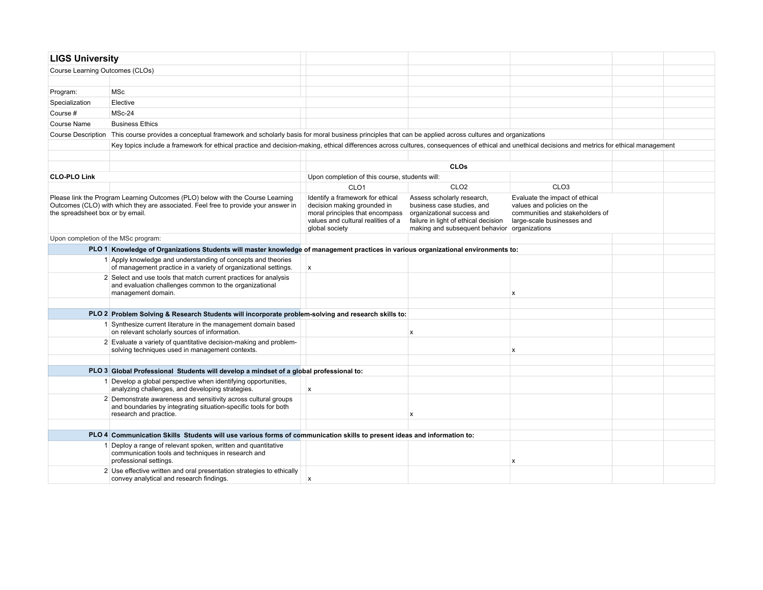| <b>LIGS University</b>                                                                                                                                                                                   |                                                                                                                                                                                                  |                                                                                                                                                            |                                                                                                                                                                                |                                                                                                                               |  |  |  |  |  |
|----------------------------------------------------------------------------------------------------------------------------------------------------------------------------------------------------------|--------------------------------------------------------------------------------------------------------------------------------------------------------------------------------------------------|------------------------------------------------------------------------------------------------------------------------------------------------------------|--------------------------------------------------------------------------------------------------------------------------------------------------------------------------------|-------------------------------------------------------------------------------------------------------------------------------|--|--|--|--|--|
| Course Learning Outcomes (CLOs)                                                                                                                                                                          |                                                                                                                                                                                                  |                                                                                                                                                            |                                                                                                                                                                                |                                                                                                                               |  |  |  |  |  |
|                                                                                                                                                                                                          |                                                                                                                                                                                                  |                                                                                                                                                            |                                                                                                                                                                                |                                                                                                                               |  |  |  |  |  |
| Program:                                                                                                                                                                                                 | <b>MSc</b>                                                                                                                                                                                       |                                                                                                                                                            |                                                                                                                                                                                |                                                                                                                               |  |  |  |  |  |
| Specialization                                                                                                                                                                                           | Elective                                                                                                                                                                                         |                                                                                                                                                            |                                                                                                                                                                                |                                                                                                                               |  |  |  |  |  |
| Course #                                                                                                                                                                                                 | MSc-24                                                                                                                                                                                           |                                                                                                                                                            |                                                                                                                                                                                |                                                                                                                               |  |  |  |  |  |
| Course Name                                                                                                                                                                                              | <b>Business Ethics</b>                                                                                                                                                                           |                                                                                                                                                            |                                                                                                                                                                                |                                                                                                                               |  |  |  |  |  |
| <b>Course Description</b>                                                                                                                                                                                | This course provides a conceptual framework and scholarly basis for moral business principles that can be applied across cultures and organizations                                              |                                                                                                                                                            |                                                                                                                                                                                |                                                                                                                               |  |  |  |  |  |
|                                                                                                                                                                                                          | Key topics include a framework for ethical practice and decision-making, ethical differences across cultures, consequences of ethical and unethical decisions and metrics for ethical management |                                                                                                                                                            |                                                                                                                                                                                |                                                                                                                               |  |  |  |  |  |
|                                                                                                                                                                                                          |                                                                                                                                                                                                  |                                                                                                                                                            |                                                                                                                                                                                |                                                                                                                               |  |  |  |  |  |
|                                                                                                                                                                                                          |                                                                                                                                                                                                  |                                                                                                                                                            |                                                                                                                                                                                |                                                                                                                               |  |  |  |  |  |
| <b>CLO-PLO Link</b>                                                                                                                                                                                      |                                                                                                                                                                                                  | Upon completion of this course, students will:                                                                                                             |                                                                                                                                                                                |                                                                                                                               |  |  |  |  |  |
|                                                                                                                                                                                                          |                                                                                                                                                                                                  | CLO <sub>1</sub>                                                                                                                                           | CLO <sub>2</sub>                                                                                                                                                               | CLO <sub>3</sub>                                                                                                              |  |  |  |  |  |
| Please link the Program Learning Outcomes (PLO) below with the Course Learning<br>Outcomes (CLO) with which they are associated. Feel free to provide your answer in<br>the spreadsheet box or by email. |                                                                                                                                                                                                  | Identify a framework for ethical<br>decision making grounded in<br>moral principles that encompass<br>values and cultural realities of a<br>global society | Assess scholarly research,<br>business case studies, and<br>organizational success and<br>failure in light of ethical decision<br>making and subsequent behavior organizations | Evaluate the impact of ethical<br>values and policies on the<br>communities and stakeholders of<br>large-scale businesses and |  |  |  |  |  |
| Upon completion of the MSc program:                                                                                                                                                                      |                                                                                                                                                                                                  |                                                                                                                                                            |                                                                                                                                                                                |                                                                                                                               |  |  |  |  |  |
| PLO 1 Knowledge of Organizations Students will master knowledge of management practices in various organizational environments to:                                                                       |                                                                                                                                                                                                  |                                                                                                                                                            |                                                                                                                                                                                |                                                                                                                               |  |  |  |  |  |
|                                                                                                                                                                                                          | 1 Apply knowledge and understanding of concepts and theories<br>of management practice in a variety of organizational settings.                                                                  | $\boldsymbol{\mathsf{x}}$                                                                                                                                  |                                                                                                                                                                                |                                                                                                                               |  |  |  |  |  |
|                                                                                                                                                                                                          | 2 Select and use tools that match current practices for analysis<br>and evaluation challenges common to the organizational<br>management domain.                                                 |                                                                                                                                                            |                                                                                                                                                                                | $\mathsf{x}$                                                                                                                  |  |  |  |  |  |
|                                                                                                                                                                                                          |                                                                                                                                                                                                  |                                                                                                                                                            |                                                                                                                                                                                |                                                                                                                               |  |  |  |  |  |
|                                                                                                                                                                                                          | PLO 2 Problem Solving & Research Students will incorporate problem-solving and research skills to:                                                                                               |                                                                                                                                                            |                                                                                                                                                                                |                                                                                                                               |  |  |  |  |  |
|                                                                                                                                                                                                          | 1 Synthesize current literature in the management domain based<br>on relevant scholarly sources of information.                                                                                  |                                                                                                                                                            | x                                                                                                                                                                              |                                                                                                                               |  |  |  |  |  |
|                                                                                                                                                                                                          | 2 Evaluate a variety of quantitative decision-making and problem-<br>solving techniques used in management contexts.                                                                             |                                                                                                                                                            |                                                                                                                                                                                | $\mathsf{x}$                                                                                                                  |  |  |  |  |  |
|                                                                                                                                                                                                          |                                                                                                                                                                                                  |                                                                                                                                                            |                                                                                                                                                                                |                                                                                                                               |  |  |  |  |  |
|                                                                                                                                                                                                          | PLO 3 Global Professional Students will develop a mindset of a global professional to:                                                                                                           |                                                                                                                                                            |                                                                                                                                                                                |                                                                                                                               |  |  |  |  |  |
|                                                                                                                                                                                                          | 1 Develop a global perspective when identifying opportunities,<br>analyzing challenges, and developing strategies.                                                                               | $\boldsymbol{\mathsf{x}}$                                                                                                                                  |                                                                                                                                                                                |                                                                                                                               |  |  |  |  |  |
|                                                                                                                                                                                                          | 2 Demonstrate awareness and sensitivity across cultural groups<br>and boundaries by integrating situation-specific tools for both<br>research and practice.                                      |                                                                                                                                                            | x                                                                                                                                                                              |                                                                                                                               |  |  |  |  |  |
|                                                                                                                                                                                                          |                                                                                                                                                                                                  |                                                                                                                                                            |                                                                                                                                                                                |                                                                                                                               |  |  |  |  |  |
| PLO 4 Communication Skills Students will use various forms of communication skills to present ideas and information to:                                                                                  |                                                                                                                                                                                                  |                                                                                                                                                            |                                                                                                                                                                                |                                                                                                                               |  |  |  |  |  |
|                                                                                                                                                                                                          | Deploy a range of relevant spoken, written and quantitative<br>communication tools and techniques in research and<br>professional settings.                                                      |                                                                                                                                                            |                                                                                                                                                                                | X                                                                                                                             |  |  |  |  |  |
|                                                                                                                                                                                                          | 2 Use effective written and oral presentation strategies to ethically<br>convey analytical and research findings.                                                                                | $\boldsymbol{\mathsf{x}}$                                                                                                                                  |                                                                                                                                                                                |                                                                                                                               |  |  |  |  |  |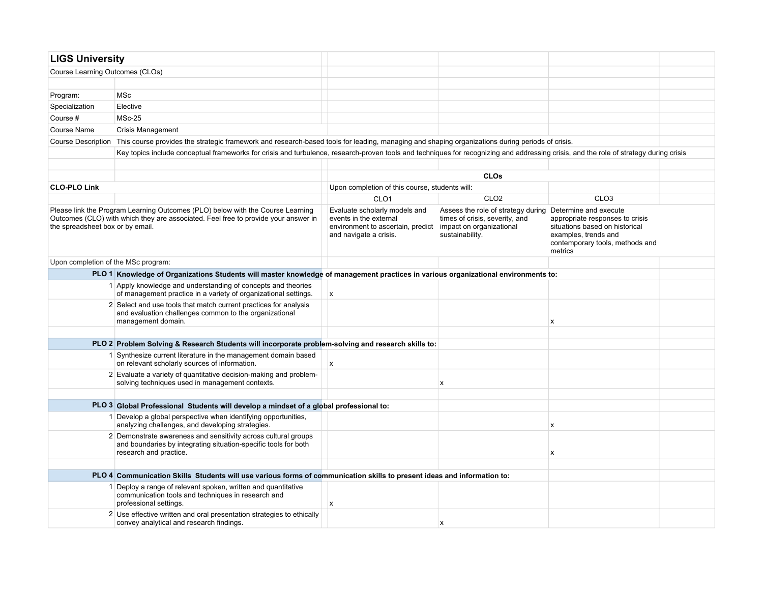| <b>LIGS University</b>                                                                                                                                                                                   |                                                                                                                                                                                        |                                                                                                                                                 |                                                                                         |                                                                                                                                                                  |  |  |  |  |  |
|----------------------------------------------------------------------------------------------------------------------------------------------------------------------------------------------------------|----------------------------------------------------------------------------------------------------------------------------------------------------------------------------------------|-------------------------------------------------------------------------------------------------------------------------------------------------|-----------------------------------------------------------------------------------------|------------------------------------------------------------------------------------------------------------------------------------------------------------------|--|--|--|--|--|
| Course Learning Outcomes (CLOs)                                                                                                                                                                          |                                                                                                                                                                                        |                                                                                                                                                 |                                                                                         |                                                                                                                                                                  |  |  |  |  |  |
|                                                                                                                                                                                                          |                                                                                                                                                                                        |                                                                                                                                                 |                                                                                         |                                                                                                                                                                  |  |  |  |  |  |
| Program:                                                                                                                                                                                                 | MSc                                                                                                                                                                                    |                                                                                                                                                 |                                                                                         |                                                                                                                                                                  |  |  |  |  |  |
| Specialization                                                                                                                                                                                           | Elective                                                                                                                                                                               |                                                                                                                                                 |                                                                                         |                                                                                                                                                                  |  |  |  |  |  |
| Course #                                                                                                                                                                                                 | $MSc-25$                                                                                                                                                                               |                                                                                                                                                 |                                                                                         |                                                                                                                                                                  |  |  |  |  |  |
| Course Name                                                                                                                                                                                              | <b>Crisis Management</b>                                                                                                                                                               |                                                                                                                                                 |                                                                                         |                                                                                                                                                                  |  |  |  |  |  |
|                                                                                                                                                                                                          | Course Description This course provides the strategic framework and research-based tools for leading, managing and shaping organizations during periods of crisis.                     |                                                                                                                                                 |                                                                                         |                                                                                                                                                                  |  |  |  |  |  |
|                                                                                                                                                                                                          | Key topics include conceptual frameworks for crisis and turbulence, research-proven tools and techniques for recognizing and addressing crisis, and the role of strategy during crisis |                                                                                                                                                 |                                                                                         |                                                                                                                                                                  |  |  |  |  |  |
|                                                                                                                                                                                                          |                                                                                                                                                                                        |                                                                                                                                                 |                                                                                         |                                                                                                                                                                  |  |  |  |  |  |
|                                                                                                                                                                                                          |                                                                                                                                                                                        | <b>CLOs</b>                                                                                                                                     |                                                                                         |                                                                                                                                                                  |  |  |  |  |  |
| <b>CLO-PLO Link</b>                                                                                                                                                                                      |                                                                                                                                                                                        | Upon completion of this course, students will:                                                                                                  |                                                                                         |                                                                                                                                                                  |  |  |  |  |  |
|                                                                                                                                                                                                          |                                                                                                                                                                                        | CLO <sub>1</sub>                                                                                                                                | CLO <sub>2</sub>                                                                        | CLO <sub>3</sub>                                                                                                                                                 |  |  |  |  |  |
| Please link the Program Learning Outcomes (PLO) below with the Course Learning<br>Outcomes (CLO) with which they are associated. Feel free to provide your answer in<br>the spreadsheet box or by email. |                                                                                                                                                                                        | Evaluate scholarly models and<br>events in the external<br>environment to ascertain, predict impact on organizational<br>and navigate a crisis. | Assess the role of strategy during<br>times of crisis, severity, and<br>sustainability. | Determine and execute<br>appropriate responses to crisis<br>situations based on historical<br>examples, trends and<br>contemporary tools, methods and<br>metrics |  |  |  |  |  |
| Upon completion of the MSc program:                                                                                                                                                                      |                                                                                                                                                                                        |                                                                                                                                                 |                                                                                         |                                                                                                                                                                  |  |  |  |  |  |
|                                                                                                                                                                                                          | PLO 1 Knowledge of Organizations Students will master knowledge of management practices in various organizational environments to:                                                     |                                                                                                                                                 |                                                                                         |                                                                                                                                                                  |  |  |  |  |  |
|                                                                                                                                                                                                          | 1 Apply knowledge and understanding of concepts and theories<br>of management practice in a variety of organizational settings.                                                        | $\boldsymbol{\mathsf{x}}$                                                                                                                       |                                                                                         |                                                                                                                                                                  |  |  |  |  |  |
|                                                                                                                                                                                                          | 2 Select and use tools that match current practices for analysis<br>and evaluation challenges common to the organizational<br>management domain.                                       |                                                                                                                                                 |                                                                                         | X                                                                                                                                                                |  |  |  |  |  |
|                                                                                                                                                                                                          |                                                                                                                                                                                        |                                                                                                                                                 |                                                                                         |                                                                                                                                                                  |  |  |  |  |  |
|                                                                                                                                                                                                          | PLO 2 Problem Solving & Research Students will incorporate problem-solving and research skills to:                                                                                     |                                                                                                                                                 |                                                                                         |                                                                                                                                                                  |  |  |  |  |  |
|                                                                                                                                                                                                          | 1 Synthesize current literature in the management domain based<br>on relevant scholarly sources of information.                                                                        | X                                                                                                                                               |                                                                                         |                                                                                                                                                                  |  |  |  |  |  |
|                                                                                                                                                                                                          | 2 Evaluate a variety of quantitative decision-making and problem-<br>solving techniques used in management contexts.                                                                   |                                                                                                                                                 | X                                                                                       |                                                                                                                                                                  |  |  |  |  |  |
|                                                                                                                                                                                                          |                                                                                                                                                                                        |                                                                                                                                                 |                                                                                         |                                                                                                                                                                  |  |  |  |  |  |
|                                                                                                                                                                                                          | PLO 3 Global Professional Students will develop a mindset of a global professional to:                                                                                                 |                                                                                                                                                 |                                                                                         |                                                                                                                                                                  |  |  |  |  |  |
|                                                                                                                                                                                                          | 1 Develop a global perspective when identifying opportunities,<br>analyzing challenges, and developing strategies.                                                                     |                                                                                                                                                 |                                                                                         | $\boldsymbol{\mathsf{x}}$                                                                                                                                        |  |  |  |  |  |
|                                                                                                                                                                                                          | 2 Demonstrate awareness and sensitivity across cultural groups<br>and boundaries by integrating situation-specific tools for both<br>research and practice.                            |                                                                                                                                                 |                                                                                         | X                                                                                                                                                                |  |  |  |  |  |
|                                                                                                                                                                                                          |                                                                                                                                                                                        |                                                                                                                                                 |                                                                                         |                                                                                                                                                                  |  |  |  |  |  |
|                                                                                                                                                                                                          | PLO 4 Communication Skills Students will use various forms of communication skills to present ideas and information to:                                                                |                                                                                                                                                 |                                                                                         |                                                                                                                                                                  |  |  |  |  |  |
|                                                                                                                                                                                                          | Deploy a range of relevant spoken, written and quantitative<br>communication tools and techniques in research and<br>professional settings.                                            | X                                                                                                                                               |                                                                                         |                                                                                                                                                                  |  |  |  |  |  |
|                                                                                                                                                                                                          | 2 Use effective written and oral presentation strategies to ethically<br>convey analytical and research findings.                                                                      |                                                                                                                                                 | X                                                                                       |                                                                                                                                                                  |  |  |  |  |  |